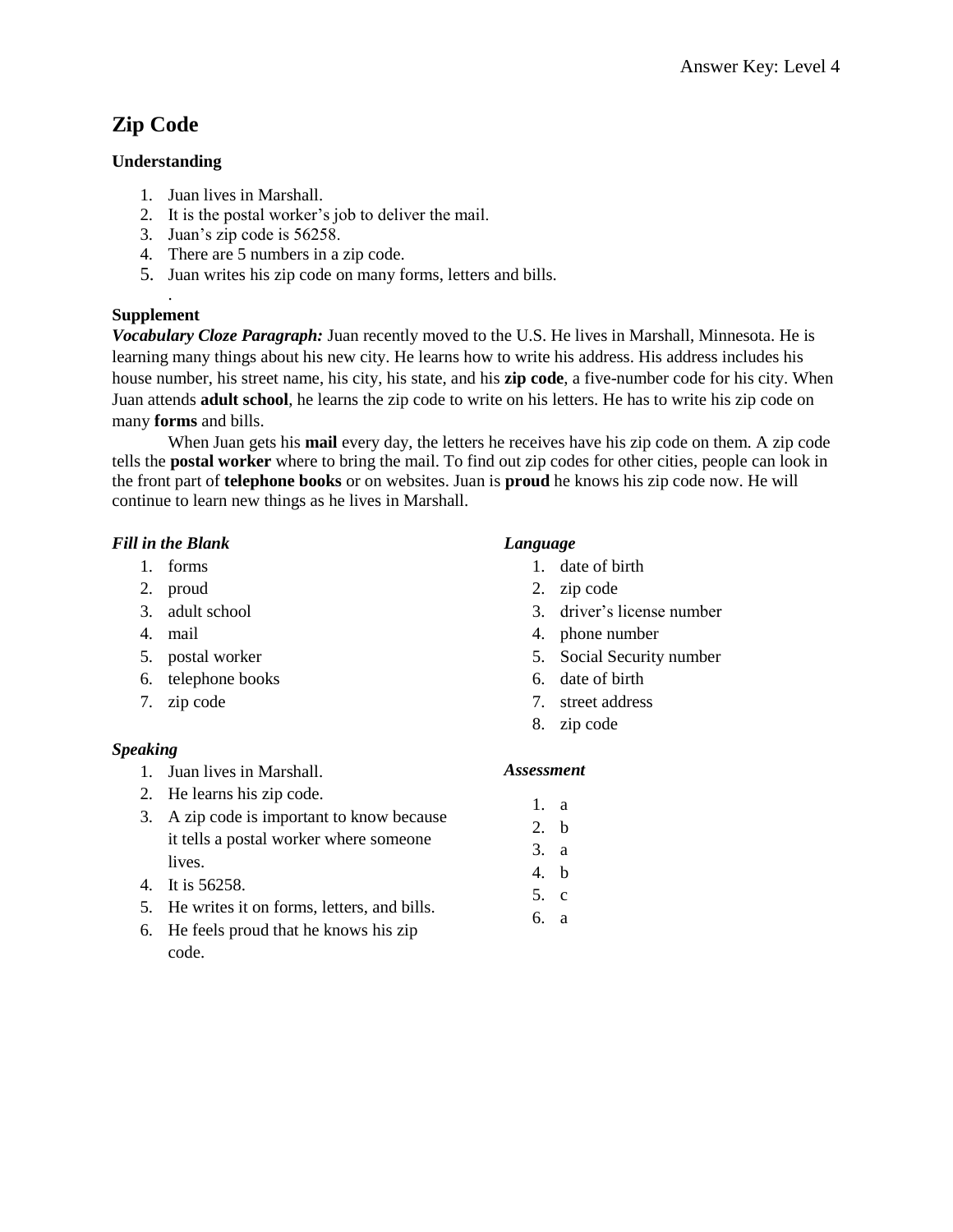# **Zip Code**

## **Understanding**

- 1. Juan lives in Marshall.
- 2. It is the postal worker's job to deliver the mail.
- 3. Juan's zip code is 56258.
- 4. There are 5 numbers in a zip code.
- 5. Juan writes his zip code on many forms, letters and bills.

## **Supplement**

.

*Vocabulary Cloze Paragraph:* Juan recently moved to the U.S. He lives in Marshall, Minnesota. He is learning many things about his new city. He learns how to write his address. His address includes his house number, his street name, his city, his state, and his **zip code**, a five-number code for his city. When Juan attends **adult school**, he learns the zip code to write on his letters. He has to write his zip code on many **forms** and bills.

When Juan gets his **mail** every day, the letters he receives have his zip code on them. A zip code tells the **postal worker** where to bring the mail. To find out zip codes for other cities, people can look in the front part of **telephone books** or on websites. Juan is **proud** he knows his zip code now. He will continue to learn new things as he lives in Marshall.

## *Fill in the Blank*

- 1. forms
- 2. proud
- 3. adult school
- 4. mail
- 5. postal worker
- 6. telephone books
- 7. zip code

## *Speaking*

- 1. Juan lives in Marshall.
- 2. He learns his zip code.
- 3. A zip code is important to know because it tells a postal worker where someone lives.
- 4. It is 56258.
- 5. He writes it on forms, letters, and bills.
- 6. He feels proud that he knows his zip code.

#### *Language*

- 1. date of birth
- 2. zip code
- 3. driver's license number
- 4. phone number
- 5. Social Security number
- 6. date of birth
- 7. street address
- 8. zip code

- 1. a 2. b
- 3. a
- 4. b
- 5. c
- 6. a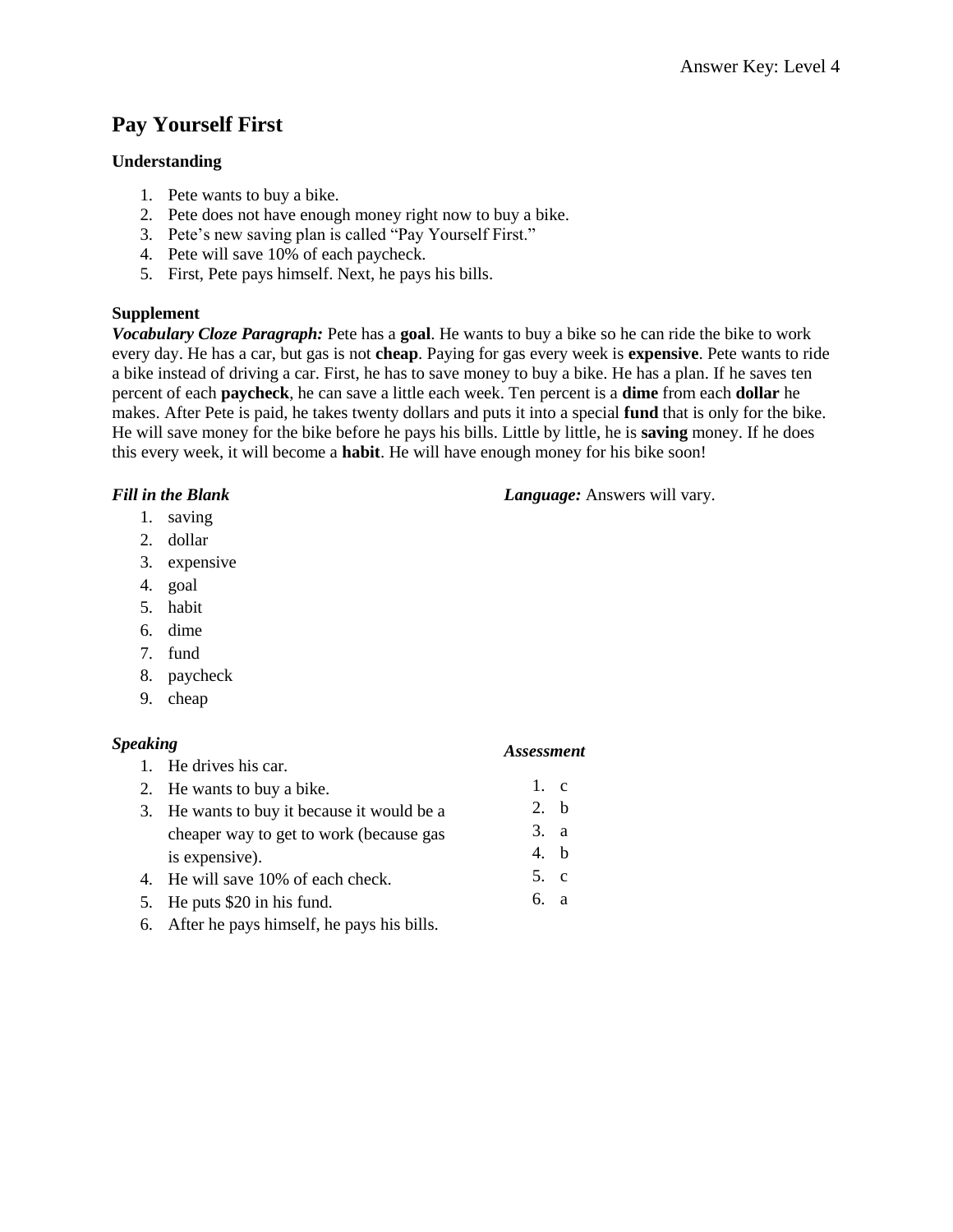## **Pay Yourself First**

### **Understanding**

- 1. Pete wants to buy a bike.
- 2. Pete does not have enough money right now to buy a bike.
- 3. Pete's new saving plan is called "Pay Yourself First."
- 4. Pete will save 10% of each paycheck.
- 5. First, Pete pays himself. Next, he pays his bills.

### **Supplement**

*Vocabulary Cloze Paragraph:* Pete has a **goal**. He wants to buy a bike so he can ride the bike to work every day. He has a car, but gas is not **cheap**. Paying for gas every week is **expensive**. Pete wants to ride a bike instead of driving a car. First, he has to save money to buy a bike. He has a plan. If he saves ten percent of each **paycheck**, he can save a little each week. Ten percent is a **dime** from each **dollar** he makes. After Pete is paid, he takes twenty dollars and puts it into a special **fund** that is only for the bike. He will save money for the bike before he pays his bills. Little by little, he is **saving** money. If he does this every week, it will become a **habit**. He will have enough money for his bike soon!

### *Fill in the Blank*

- 1. saving
- 2. dollar
- 3. expensive
- 4. goal
- 5. habit
- 6. dime
- 7. fund
- 8. paycheck
- 9. cheap

## *Speaking*

| икіпұ |                                             | <b>Assessment</b> |  |
|-------|---------------------------------------------|-------------------|--|
|       | 1. He drives his car.                       |                   |  |
|       | 2. He wants to buy a bike.                  | $1$ . c           |  |
|       | 3. He wants to buy it because it would be a | 2. b              |  |
|       | cheaper way to get to work (because gas     | 3. a              |  |
|       | is expensive).                              | 4. b              |  |
|       | 4. He will save 10% of each check.          | 5. c              |  |
|       | 5. He puts \$20 in his fund.                | 6. a              |  |
|       |                                             |                   |  |

6. After he pays himself, he pays his bills.

#### *Language:* Answers will vary.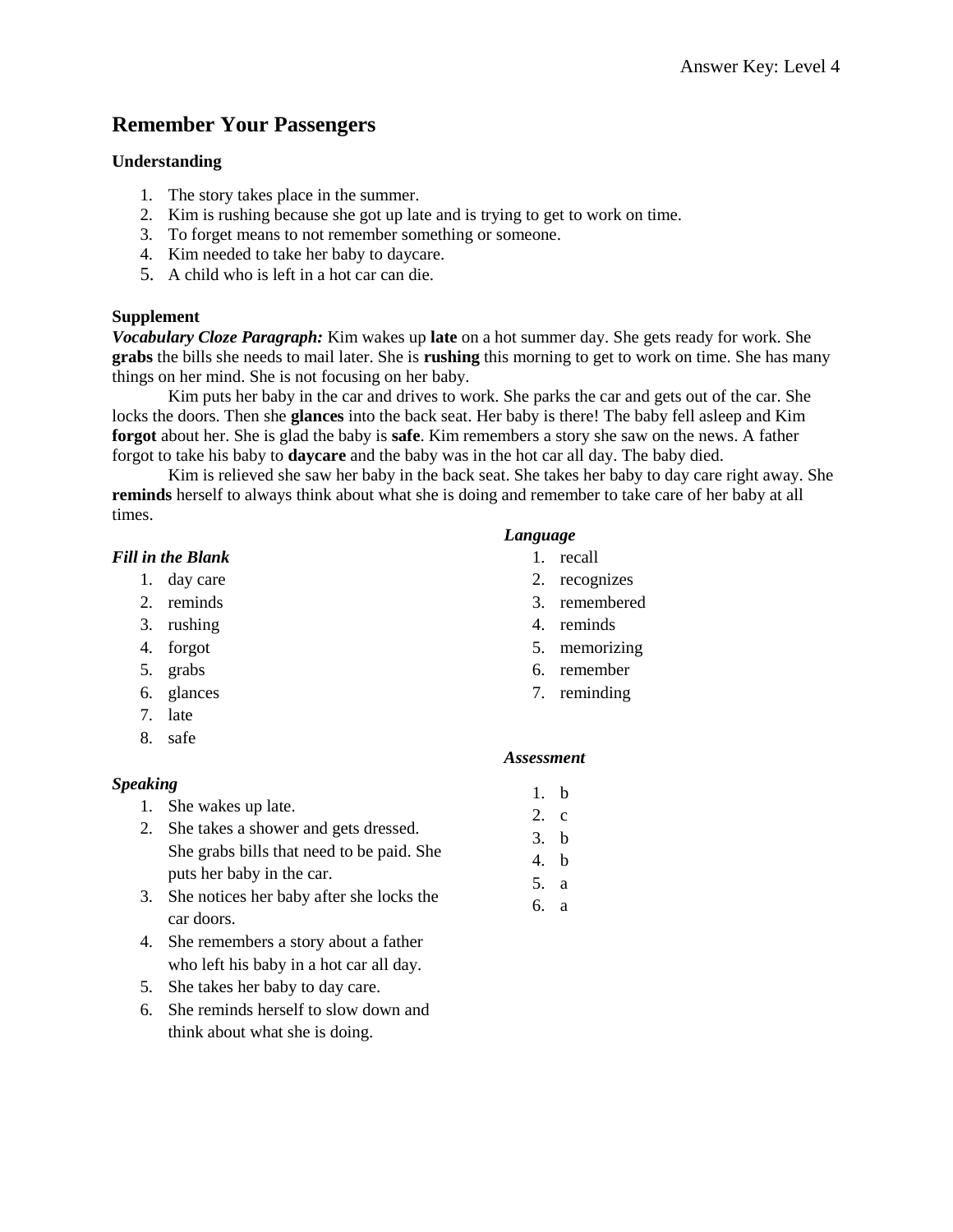## **Remember Your Passengers**

### **Understanding**

- 1. The story takes place in the summer.
- 2. Kim is rushing because she got up late and is trying to get to work on time.
- 3. To forget means to not remember something or someone.
- 4. Kim needed to take her baby to daycare.
- 5. A child who is left in a hot car can die.

### **Supplement**

*Vocabulary Cloze Paragraph:* Kim wakes up **late** on a hot summer day. She gets ready for work. She **grabs** the bills she needs to mail later. She is **rushing** this morning to get to work on time. She has many things on her mind. She is not focusing on her baby.

Kim puts her baby in the car and drives to work. She parks the car and gets out of the car. She locks the doors. Then she **glances** into the back seat. Her baby is there! The baby fell asleep and Kim **forgot** about her. She is glad the baby is **safe**. Kim remembers a story she saw on the news. A father forgot to take his baby to **daycare** and the baby was in the hot car all day. The baby died.

Kim is relieved she saw her baby in the back seat. She takes her baby to day care right away. She **reminds** herself to always think about what she is doing and remember to take care of her baby at all times.

### *Fill in the Blank*

- 1. day care
- 2. reminds
- 3. rushing
- 4. forgot
- 5. grabs
- 6. glances
- 7. late
- 8. safe

## *Speaking*

- 1. She wakes up late.
- 2. She takes a shower and gets dressed. She grabs bills that need to be paid. She puts her baby in the car.
- 3. She notices her baby after she locks the car doors.
- 4. She remembers a story about a father who left his baby in a hot car all day.
- 5. She takes her baby to day care.
- 6. She reminds herself to slow down and think about what she is doing.

#### *Language*

- 1. recall
- 2. recognizes
- 3. remembered
- 4. reminds
- 5. memorizing
- 6. remember
- 7. reminding

#### *Assessment*

1. b 2. c 3. b 4. b 5. a 6. a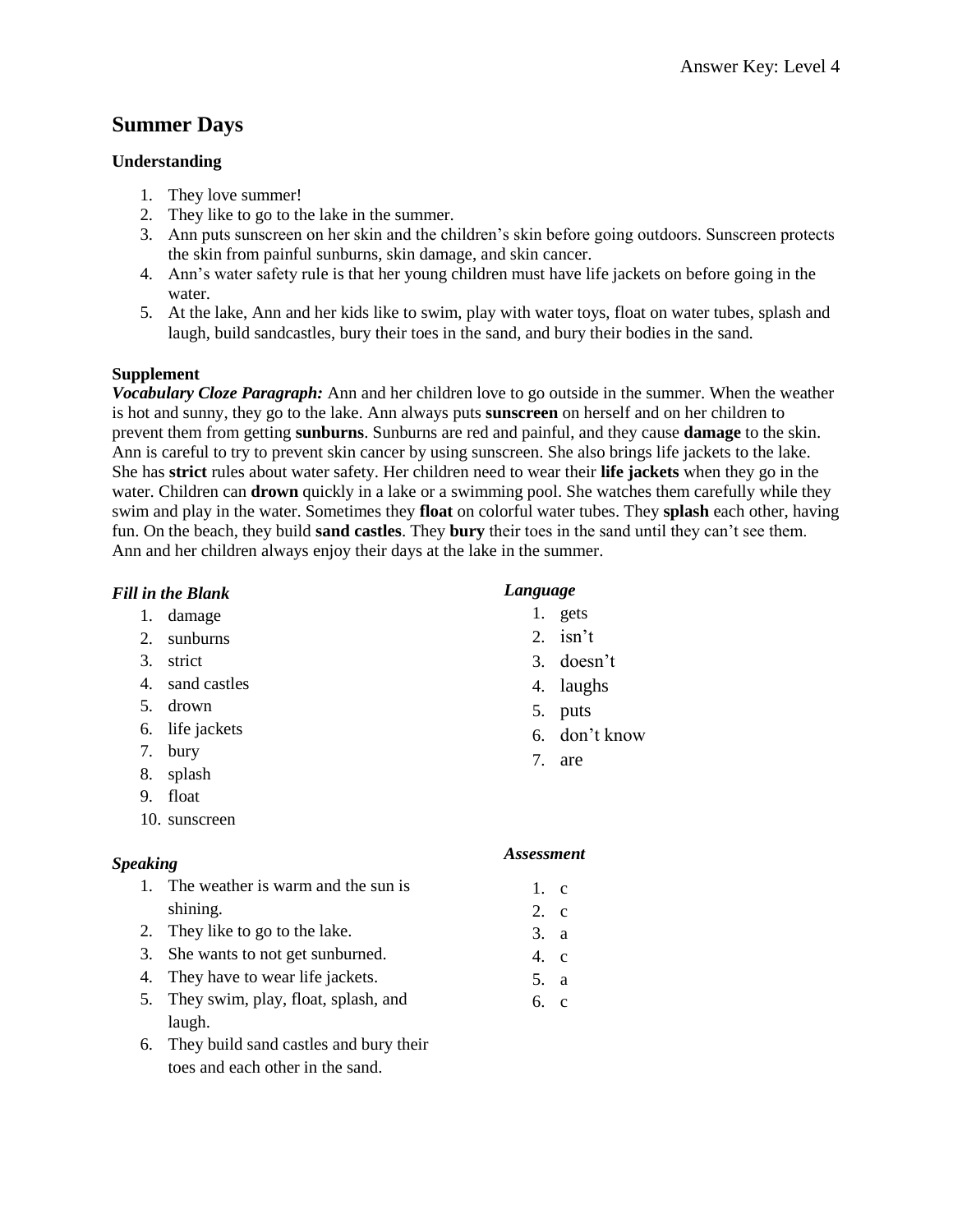## **Summer Days**

## **Understanding**

- 1. They love summer!
- 2. They like to go to the lake in the summer.
- 3. Ann puts sunscreen on her skin and the children's skin before going outdoors. Sunscreen protects the skin from painful sunburns, skin damage, and skin cancer.
- 4. Ann's water safety rule is that her young children must have life jackets on before going in the water.
- 5. At the lake, Ann and her kids like to swim, play with water toys, float on water tubes, splash and laugh, build sandcastles, bury their toes in the sand, and bury their bodies in the sand.

## **Supplement**

*Vocabulary Cloze Paragraph:* Ann and her children love to go outside in the summer. When the weather is hot and sunny, they go to the lake. Ann always puts **sunscreen** on herself and on her children to prevent them from getting **sunburns**. Sunburns are red and painful, and they cause **damage** to the skin. Ann is careful to try to prevent skin cancer by using sunscreen. She also brings life jackets to the lake. She has **strict** rules about water safety. Her children need to wear their **life jackets** when they go in the water. Children can **drown** quickly in a lake or a swimming pool. She watches them carefully while they swim and play in the water. Sometimes they **float** on colorful water tubes. They **splash** each other, having fun. On the beach, they build **sand castles**. They **bury** their toes in the sand until they can't see them. Ann and her children always enjoy their days at the lake in the summer.

## *Fill in the Blank*

- 1. damage
- 2. sunburns
- 3. strict
- 4. sand castles
- 5. drown
- 6. life jackets
- 7. bury
- 8. splash
- 9. float
- 10. sunscreen

## *Speaking*

- 1. The weather is warm and the sun is shining.
- 2. They like to go to the lake.
- 3. She wants to not get sunburned.
- 4. They have to wear life jackets.
- 5. They swim, play, float, splash, and laugh.
- 6. They build sand castles and bury their toes and each other in the sand.

## *Language*

- 1. gets
- 2. isn't
- 3. doesn't
- 4. laughs
- 5. puts
- 6. don't know
- 7. are

- 1. c
- 2. c
- 3. a
- 4. c
- 5. a
- 6. c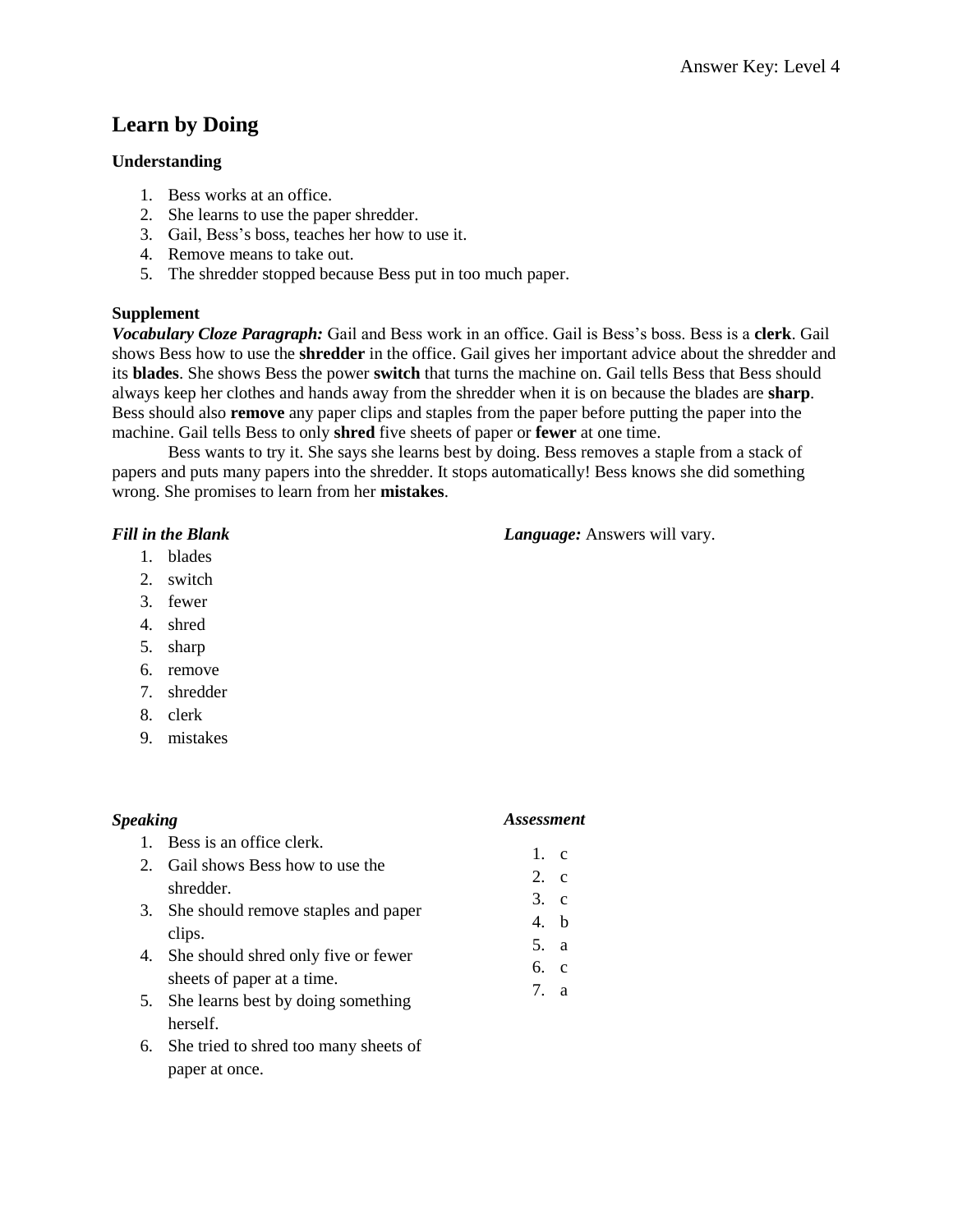## **Learn by Doing**

### **Understanding**

- 1. Bess works at an office.
- 2. She learns to use the paper shredder.
- 3. Gail, Bess's boss, teaches her how to use it.
- 4. Remove means to take out.
- 5. The shredder stopped because Bess put in too much paper.

#### **Supplement**

*Vocabulary Cloze Paragraph:* Gail and Bess work in an office. Gail is Bess's boss. Bess is a **clerk**. Gail shows Bess how to use the **shredder** in the office. Gail gives her important advice about the shredder and its **blades**. She shows Bess the power **switch** that turns the machine on. Gail tells Bess that Bess should always keep her clothes and hands away from the shredder when it is on because the blades are **sharp**. Bess should also **remove** any paper clips and staples from the paper before putting the paper into the machine. Gail tells Bess to only **shred** five sheets of paper or **fewer** at one time.

Bess wants to try it. She says she learns best by doing. Bess removes a staple from a stack of papers and puts many papers into the shredder. It stops automatically! Bess knows she did something wrong. She promises to learn from her **mistakes**.

#### *Fill in the Blank*

- 1. blades
- 2. switch
- 3. fewer
- 4. shred
- 5. sharp
- 6. remove
- 7. shredder
- 8. clerk
- 9. mistakes

herself.

#### *Speaking* 1. Bess is an office clerk. 2. Gail shows Bess how to use the shredder. 3. She should remove staples and paper clips. 4. She should shred only five or fewer sheets of paper at a time. 5. She learns best by doing something *Assessment* 1. c  $2 \quad c$ 3. c 4. b 5. a 6. c 7. a

6. She tried to shred too many sheets of paper at once.

*Language:* Answers will vary.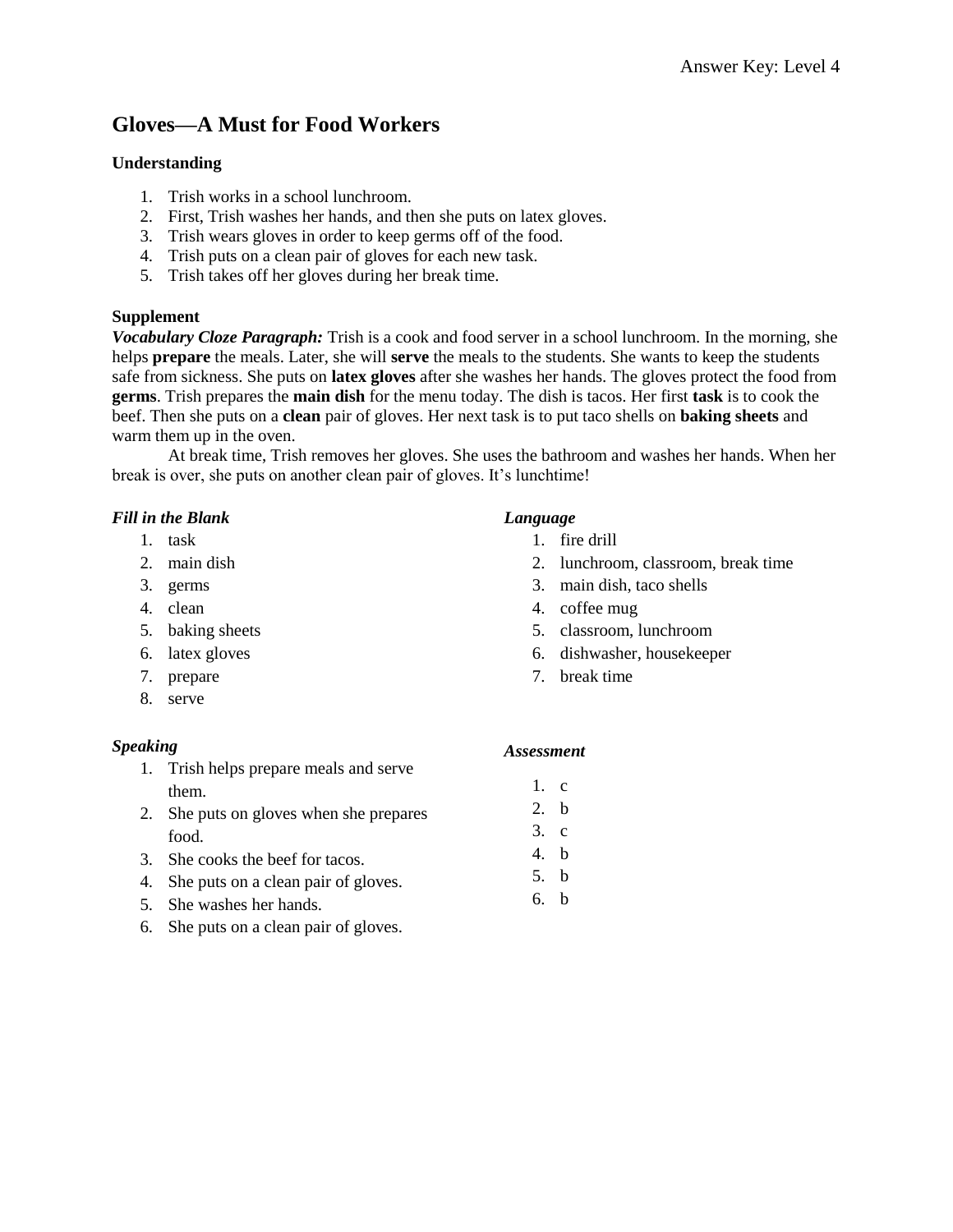## **Gloves—A Must for Food Workers**

### **Understanding**

- 1. Trish works in a school lunchroom.
- 2. First, Trish washes her hands, and then she puts on latex gloves.
- 3. Trish wears gloves in order to keep germs off of the food.
- 4. Trish puts on a clean pair of gloves for each new task.
- 5. Trish takes off her gloves during her break time.

### **Supplement**

*Vocabulary Cloze Paragraph:* Trish is a cook and food server in a school lunchroom. In the morning, she helps **prepare** the meals. Later, she will **serve** the meals to the students. She wants to keep the students safe from sickness. She puts on **latex gloves** after she washes her hands. The gloves protect the food from **germs**. Trish prepares the **main dish** for the menu today. The dish is tacos. Her first **task** is to cook the beef. Then she puts on a **clean** pair of gloves. Her next task is to put taco shells on **baking sheets** and warm them up in the oven.

At break time, Trish removes her gloves. She uses the bathroom and washes her hands. When her break is over, she puts on another clean pair of gloves. It's lunchtime!

### *Fill in the Blank*

- 1. task
- 2. main dish
- 3. germs
- 4. clean
- 5. baking sheets
- 6. latex gloves
- 7. prepare
- 8. serve

#### *Speaking*

- 1. Trish helps prepare meals and serve them.
- 2. She puts on gloves when she prepares food.
- 3. She cooks the beef for tacos.
- 4. She puts on a clean pair of gloves.
- 5. She washes her hands.
- 6. She puts on a clean pair of gloves.

### *Language*

- 1. fire drill
- 2. lunchroom, classroom, break time
- 3. main dish, taco shells
- 4. coffee mug
- 5. classroom, lunchroom
- 6. dishwasher, housekeeper
- 7. break time

#### *Assessment*

1. c 2. b 3. c 4. b 5. b 6. b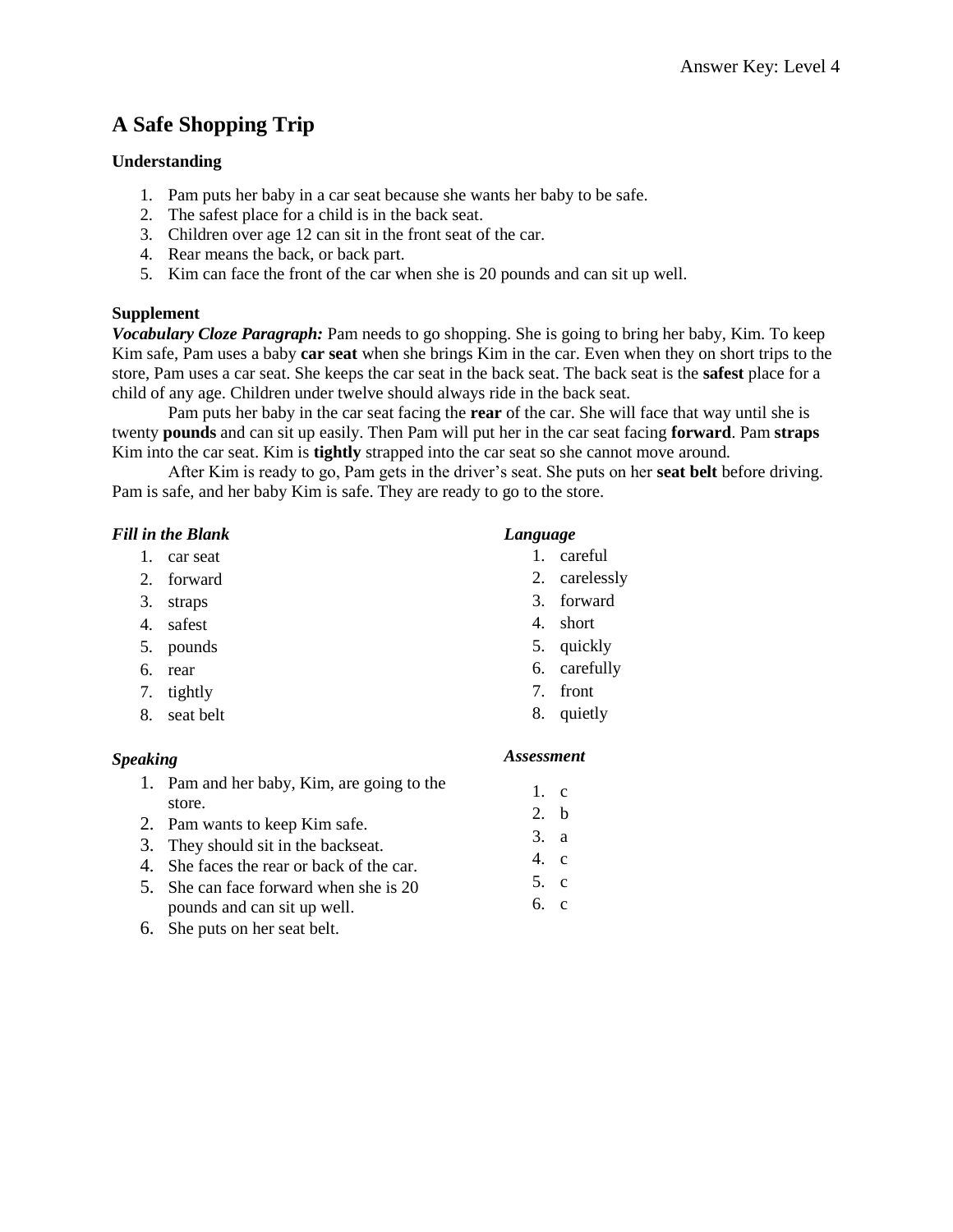## **A Safe Shopping Trip**

### **Understanding**

- 1. Pam puts her baby in a car seat because she wants her baby to be safe.
- 2. The safest place for a child is in the back seat.
- 3. Children over age 12 can sit in the front seat of the car.
- 4. Rear means the back, or back part.
- 5. Kim can face the front of the car when she is 20 pounds and can sit up well.

#### **Supplement**

*Vocabulary Cloze Paragraph:* Pam needs to go shopping. She is going to bring her baby, Kim. To keep Kim safe, Pam uses a baby **car seat** when she brings Kim in the car. Even when they on short trips to the store, Pam uses a car seat. She keeps the car seat in the back seat. The back seat is the **safest** place for a child of any age. Children under twelve should always ride in the back seat.

Pam puts her baby in the car seat facing the **rear** of the car. She will face that way until she is twenty **pounds** and can sit up easily. Then Pam will put her in the car seat facing **forward**. Pam **straps** Kim into the car seat. Kim is **tightly** strapped into the car seat so she cannot move around.

After Kim is ready to go, Pam gets in the driver's seat. She puts on her **seat belt** before driving. Pam is safe, and her baby Kim is safe. They are ready to go to the store.

### *Fill in the Blank*

- 1. car seat
- 2. forward
- 3. straps
- 4. safest
- 5. pounds
- 6. rear
- 7. tightly
- 8. seat belt

## *Speaking*

- 1. Pam and her baby, Kim, are going to the store.
- 2. Pam wants to keep Kim safe.
- 3. They should sit in the backseat.
- 4. She faces the rear or back of the car.
- 5. She can face forward when she is 20 pounds and can sit up well.
- 6. She puts on her seat belt.

#### *Language*

- 1. careful
- 2. carelessly
- 3. forward
- 4. short
- 5. quickly
- 6. carefully
- 7. front
- 8. quietly

#### *Assessment*

1. c 2. b 3. a 4. c 5. c 6. c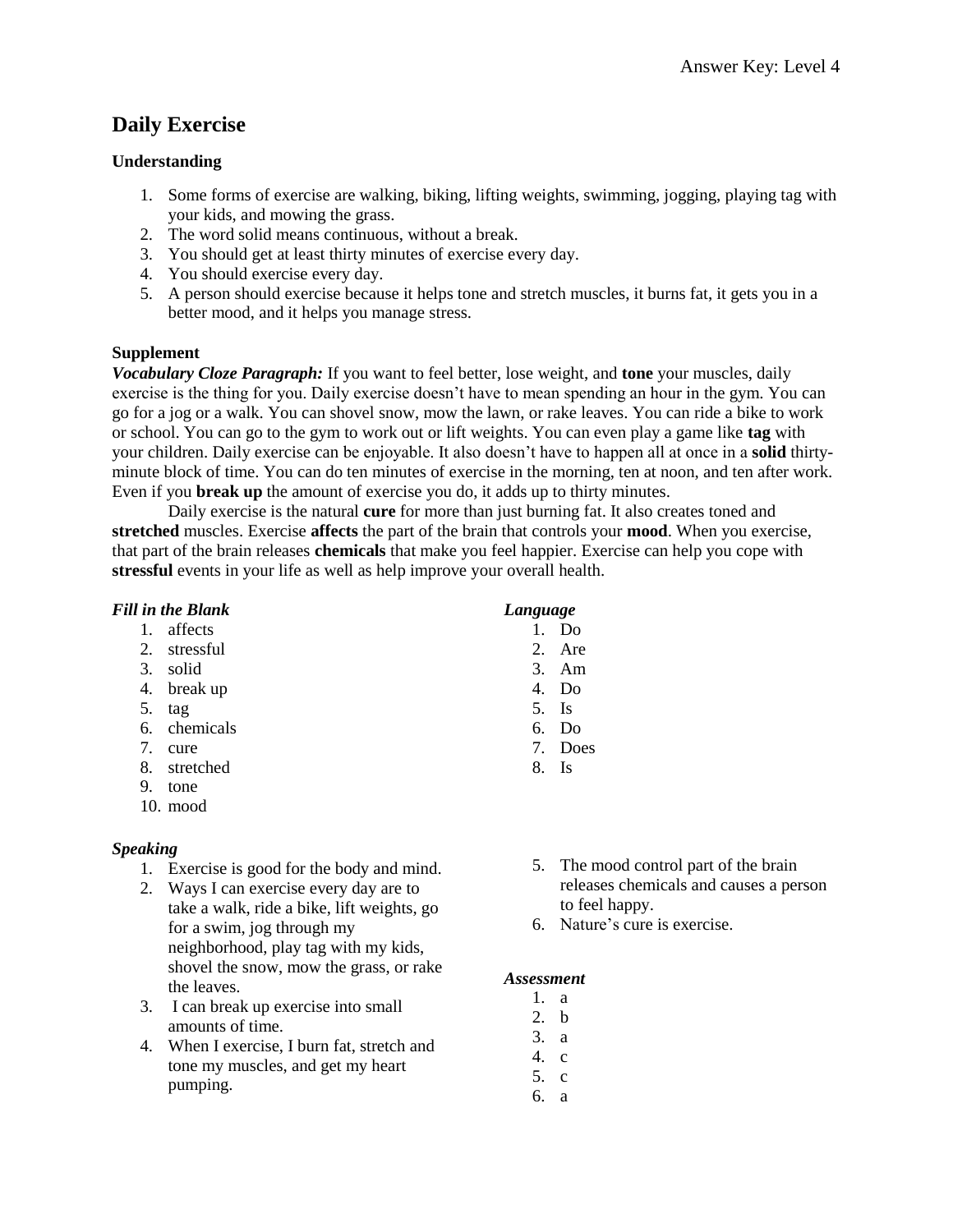## **Daily Exercise**

## **Understanding**

- 1. Some forms of exercise are walking, biking, lifting weights, swimming, jogging, playing tag with your kids, and mowing the grass.
- 2. The word solid means continuous, without a break.
- 3. You should get at least thirty minutes of exercise every day.
- 4. You should exercise every day.
- 5. A person should exercise because it helps tone and stretch muscles, it burns fat, it gets you in a better mood, and it helps you manage stress.

#### **Supplement**

*Vocabulary Cloze Paragraph:* If you want to feel better, lose weight, and **tone** your muscles, daily exercise is the thing for you. Daily exercise doesn't have to mean spending an hour in the gym. You can go for a jog or a walk. You can shovel snow, mow the lawn, or rake leaves. You can ride a bike to work or school. You can go to the gym to work out or lift weights. You can even play a game like **tag** with your children. Daily exercise can be enjoyable. It also doesn't have to happen all at once in a **solid** thirtyminute block of time. You can do ten minutes of exercise in the morning, ten at noon, and ten after work. Even if you **break up** the amount of exercise you do, it adds up to thirty minutes.

Daily exercise is the natural **cure** for more than just burning fat. It also creates toned and **stretched** muscles. Exercise **affects** the part of the brain that controls your **mood**. When you exercise, that part of the brain releases **chemicals** that make you feel happier. Exercise can help you cope with **stressful** events in your life as well as help improve your overall health.

| <b>Fill in the Blank</b> |                                            |    | Language  |  |
|--------------------------|--------------------------------------------|----|-----------|--|
| 1.                       | affects                                    |    | Do        |  |
| 2.                       | stressful                                  | 2. | Are       |  |
| 3.                       | solid                                      | 3. | Am        |  |
| 4.                       | break up                                   | 4. | Do        |  |
| 5.                       | tag                                        | 5. | <b>Is</b> |  |
| 6.                       | chemicals                                  | 6. | Do        |  |
| 7.                       | cure                                       | 7. | Does      |  |
| 8.                       | stretched                                  | 8. | <b>Is</b> |  |
| 9.                       | tone                                       |    |           |  |
|                          | $10. \text{ mood}$                         |    |           |  |
| <b>Speaking</b>          |                                            |    |           |  |
| 1.                       | Exercise is good for the body and mind.    | 5. | The m     |  |
| 2.                       | Ways I can exercise every day are to       |    | release   |  |
|                          | take a walk, ride a bike, lift weights, go |    | to feel   |  |
|                          | for a swim, jog through my                 | 6. | Nature    |  |

- neighborhood, play tag with my kids, shovel the snow, mow the grass, or rake the leaves.
- 3. I can break up exercise into small amounts of time.
- 4. When I exercise, I burn fat, stretch and tone my muscles, and get my heart pumping.
- ood control part of the brain es chemicals and causes a person happy.
- e's cure is exercise.

- 1. a
- 2. b
- 3. a
- 4. c
- 5. c
- 6. a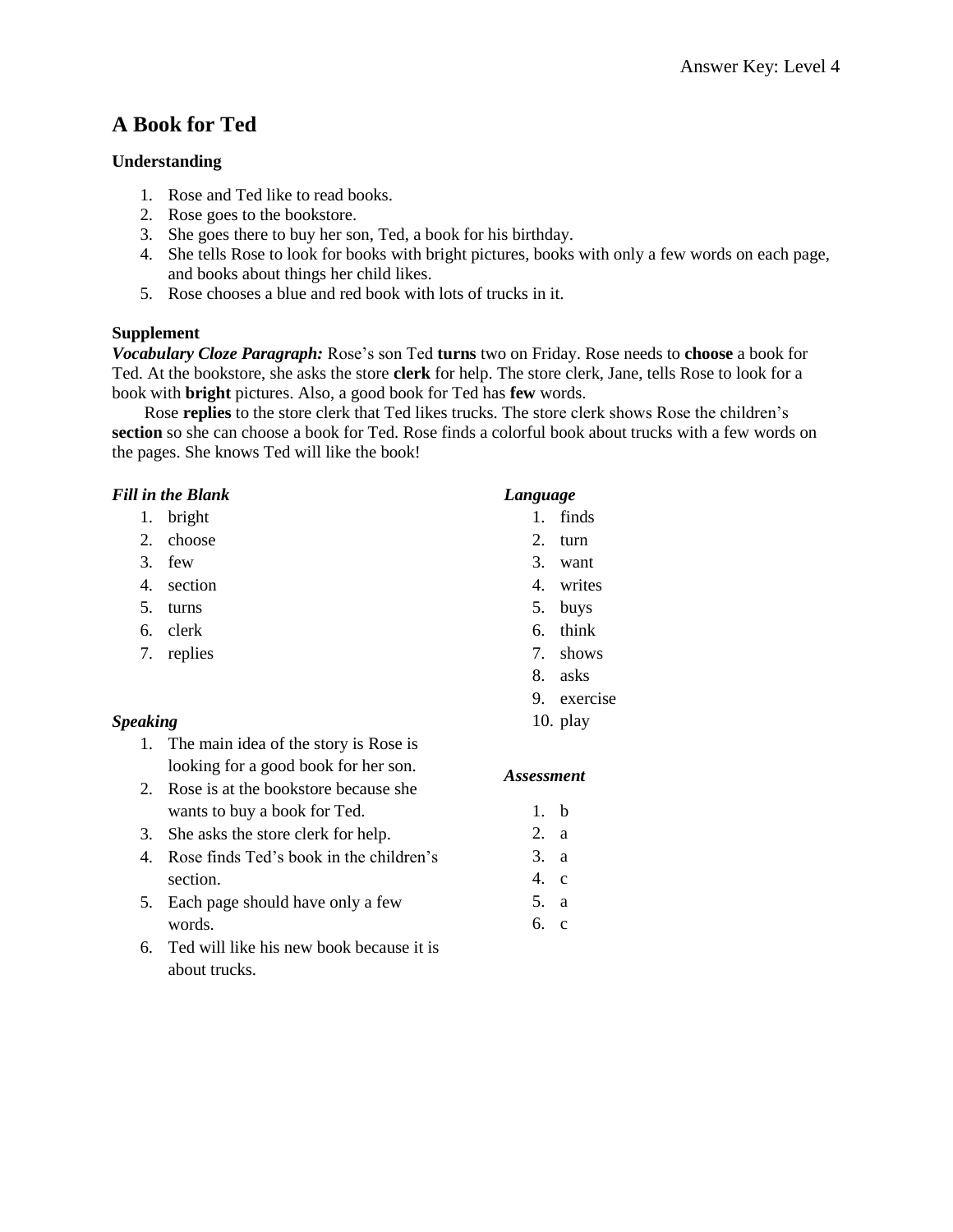## **A Book for Ted**

### **Understanding**

- 1. Rose and Ted like to read books.
- 2. Rose goes to the bookstore.
- 3. She goes there to buy her son, Ted, a book for his birthday.
- 4. She tells Rose to look for books with bright pictures, books with only a few words on each page, and books about things her child likes.
- 5. Rose chooses a blue and red book with lots of trucks in it.

## **Supplement**

*Vocabulary Cloze Paragraph:* Rose's son Ted **turns** two on Friday. Rose needs to **choose** a book for Ted. At the bookstore, she asks the store **clerk** for help. The store clerk, Jane, tells Rose to look for a book with **bright** pictures. Also, a good book for Ted has **few** words.

Rose **replies** to the store clerk that Ted likes trucks. The store clerk shows Rose the children's **section** so she can choose a book for Ted. Rose finds a colorful book about trucks with a few words on the pages. She knows Ted will like the book!

### *Fill in the Blank*

- 1. bright
- 2. choose
- 3. few
- 4. section
- 5. turns
- 6. clerk
- 7. replies

#### *Speaking*

- 1. The main idea of the story is Rose is looking for a good book for her son.
- 2. Rose is at the bookstore because she wants to buy a book for Ted.
- 3. She asks the store clerk for help.
- 4. Rose finds Ted's book in the children's section.
- 5. Each page should have only a few words.
- 6. Ted will like his new book because it is about trucks.

#### *Language*

- 1. finds
- 2. turn
- 3. want
- 4. writes
- 5. buys
- 6. think
- 7. shows
- 8. asks
- 9. exercise
- 10. play

#### *Assessment*

1. b 2. a 3. a 4. c 5. a 6. c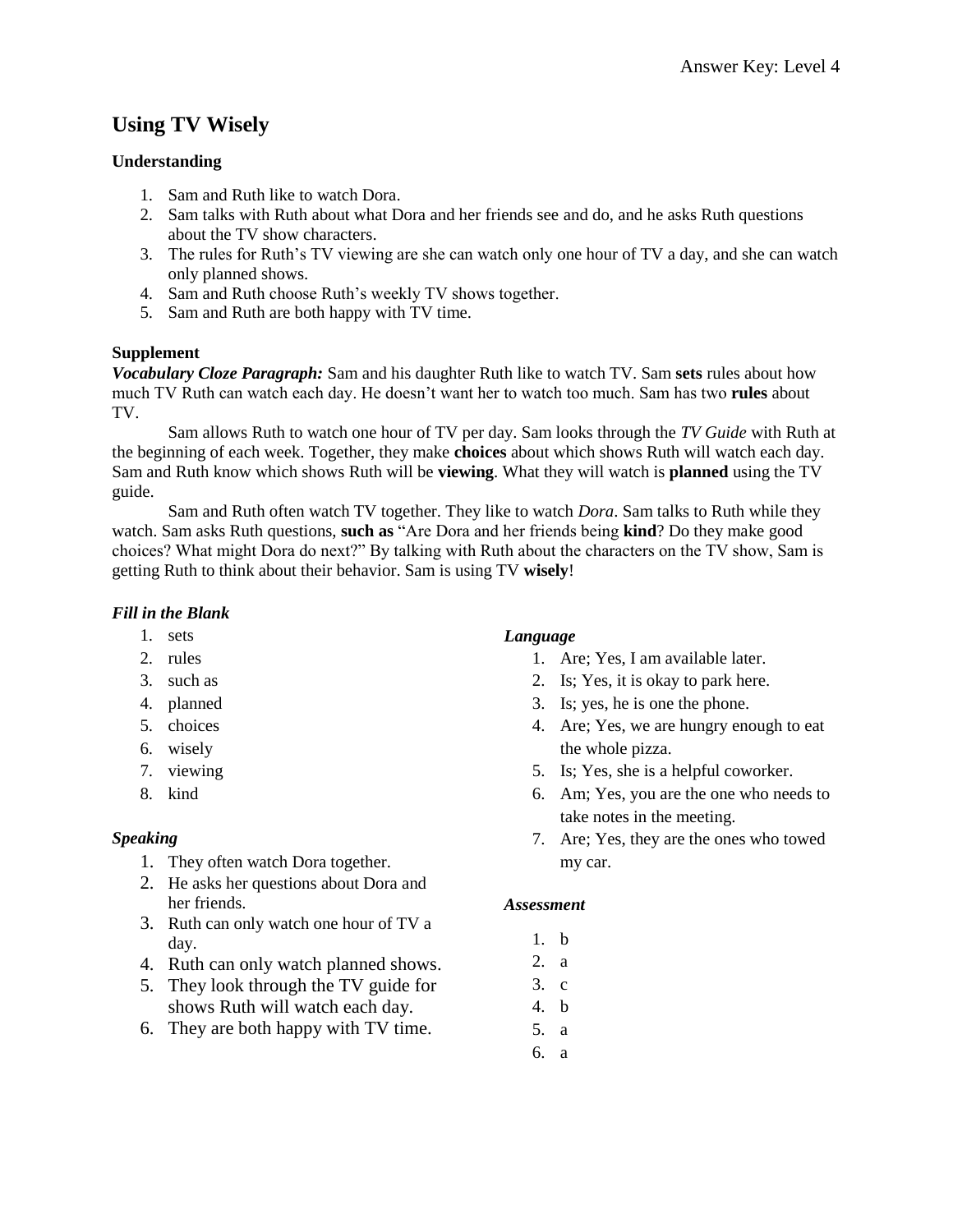## **Using TV Wisely**

### **Understanding**

- 1. Sam and Ruth like to watch Dora.
- 2. Sam talks with Ruth about what Dora and her friends see and do, and he asks Ruth questions about the TV show characters.
- 3. The rules for Ruth's TV viewing are she can watch only one hour of TV a day, and she can watch only planned shows.
- 4. Sam and Ruth choose Ruth's weekly TV shows together.
- 5. Sam and Ruth are both happy with TV time.

### **Supplement**

*Vocabulary Cloze Paragraph:* Sam and his daughter Ruth like to watch TV. Sam **sets** rules about how much TV Ruth can watch each day. He doesn't want her to watch too much. Sam has two **rules** about TV.

Sam allows Ruth to watch one hour of TV per day. Sam looks through the *TV Guide* with Ruth at the beginning of each week. Together, they make **choices** about which shows Ruth will watch each day. Sam and Ruth know which shows Ruth will be **viewing**. What they will watch is **planned** using the TV guide.

Sam and Ruth often watch TV together. They like to watch *Dora*. Sam talks to Ruth while they watch. Sam asks Ruth questions, **such as** "Are Dora and her friends being **kind**? Do they make good choices? What might Dora do next?" By talking with Ruth about the characters on the TV show, Sam is getting Ruth to think about their behavior. Sam is using TV **wisely**!

## *Fill in the Blank*

- 1. sets
- 2. rules
- 3. such as
- 4. planned
- 5. choices
- 6. wisely
- 7. viewing
- 8. kind

## *Speaking*

- 1. They often watch Dora together.
- 2. He asks her questions about Dora and her friends.
- 3. Ruth can only watch one hour of TV a day.
- 4. Ruth can only watch planned shows.
- 5. They look through the TV guide for shows Ruth will watch each day.
- 6. They are both happy with TV time.

## *Language*

- 1. Are; Yes, I am available later.
- 2. Is; Yes, it is okay to park here.
- 3. Is; yes, he is one the phone.
- 4. Are; Yes, we are hungry enough to eat the whole pizza.
- 5. Is; Yes, she is a helpful coworker.
- 6. Am; Yes, you are the one who needs to take notes in the meeting.
- 7. Are; Yes, they are the ones who towed my car.

- 1. b
- 2. a
- 3. c
- 4. b
- 5. a
- 6. a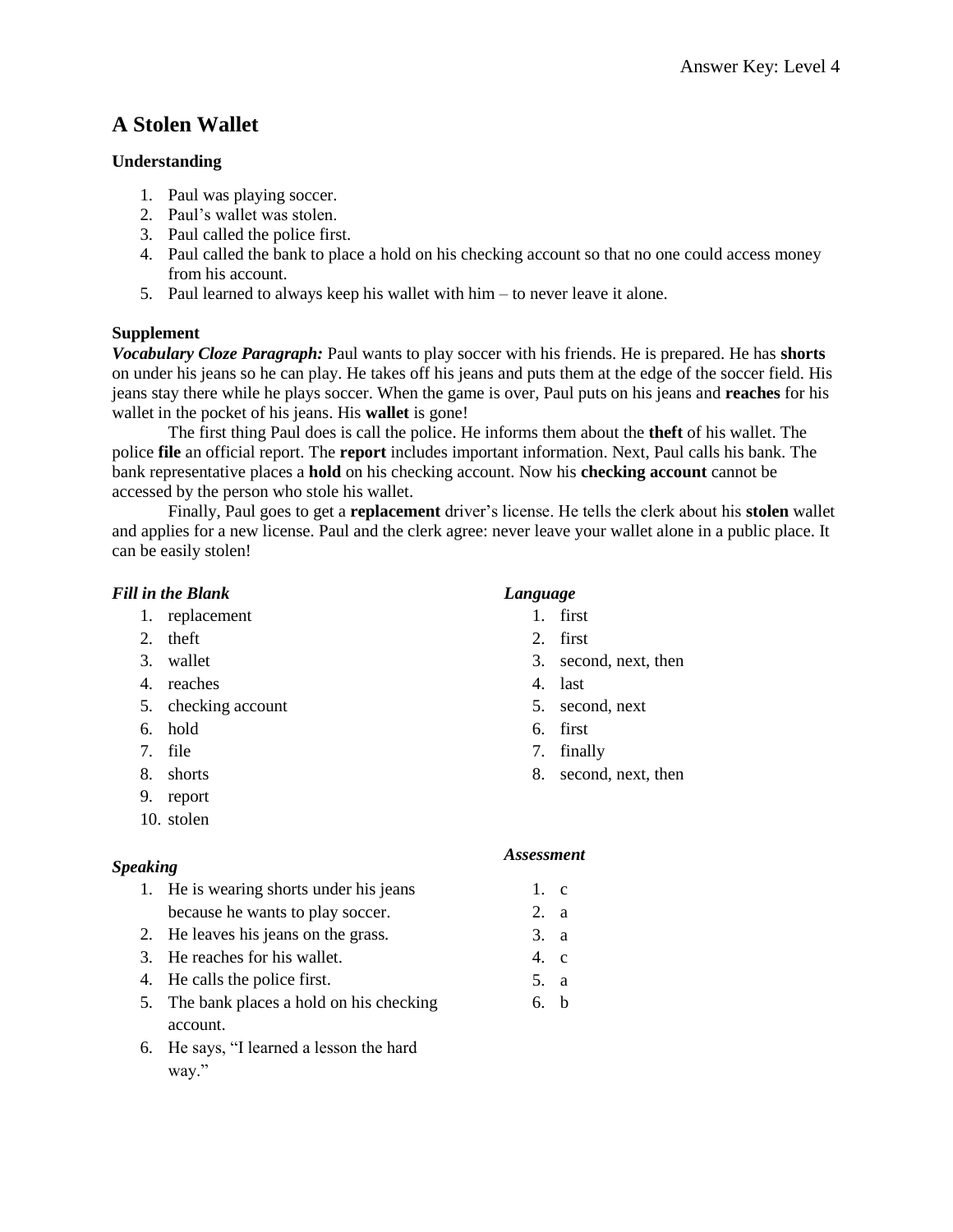## **A Stolen Wallet**

## **Understanding**

- 1. Paul was playing soccer.
- 2. Paul's wallet was stolen.
- 3. Paul called the police first.
- 4. Paul called the bank to place a hold on his checking account so that no one could access money from his account.
- 5. Paul learned to always keep his wallet with him to never leave it alone.

## **Supplement**

*Vocabulary Cloze Paragraph:* Paul wants to play soccer with his friends. He is prepared. He has **shorts** on under his jeans so he can play. He takes off his jeans and puts them at the edge of the soccer field. His jeans stay there while he plays soccer. When the game is over, Paul puts on his jeans and **reaches** for his wallet in the pocket of his jeans. His **wallet** is gone!

The first thing Paul does is call the police. He informs them about the **theft** of his wallet. The police **file** an official report. The **report** includes important information. Next, Paul calls his bank. The bank representative places a **hold** on his checking account. Now his **checking account** cannot be accessed by the person who stole his wallet.

Finally, Paul goes to get a **replacement** driver's license. He tells the clerk about his **stolen** wallet and applies for a new license. Paul and the clerk agree: never leave your wallet alone in a public place. It can be easily stolen!

### *Fill in the Blank*

- 1. replacement
- 2. theft
- 3. wallet
- 4. reaches
- 5. checking account
- 6. hold
- 7. file
- 8. shorts
- 9. report
- 10. stolen

## *Speaking*

- 1. He is wearing shorts under his jeans because he wants to play soccer.
- 2. He leaves his jeans on the grass.
- 3. He reaches for his wallet.
- 4. He calls the police first.
- 5. The bank places a hold on his checking account.
- 6. He says, "I learned a lesson the hard way."

## *Language*

- 1. first
- 2. first
- 3. second, next, then
- 4. last
- 5. second, next
- 6. first
- 7. finally
- 8. second, next, then

- 1. c
- 2. a
- 3. a
- 4. c
- 5. a
- 6. b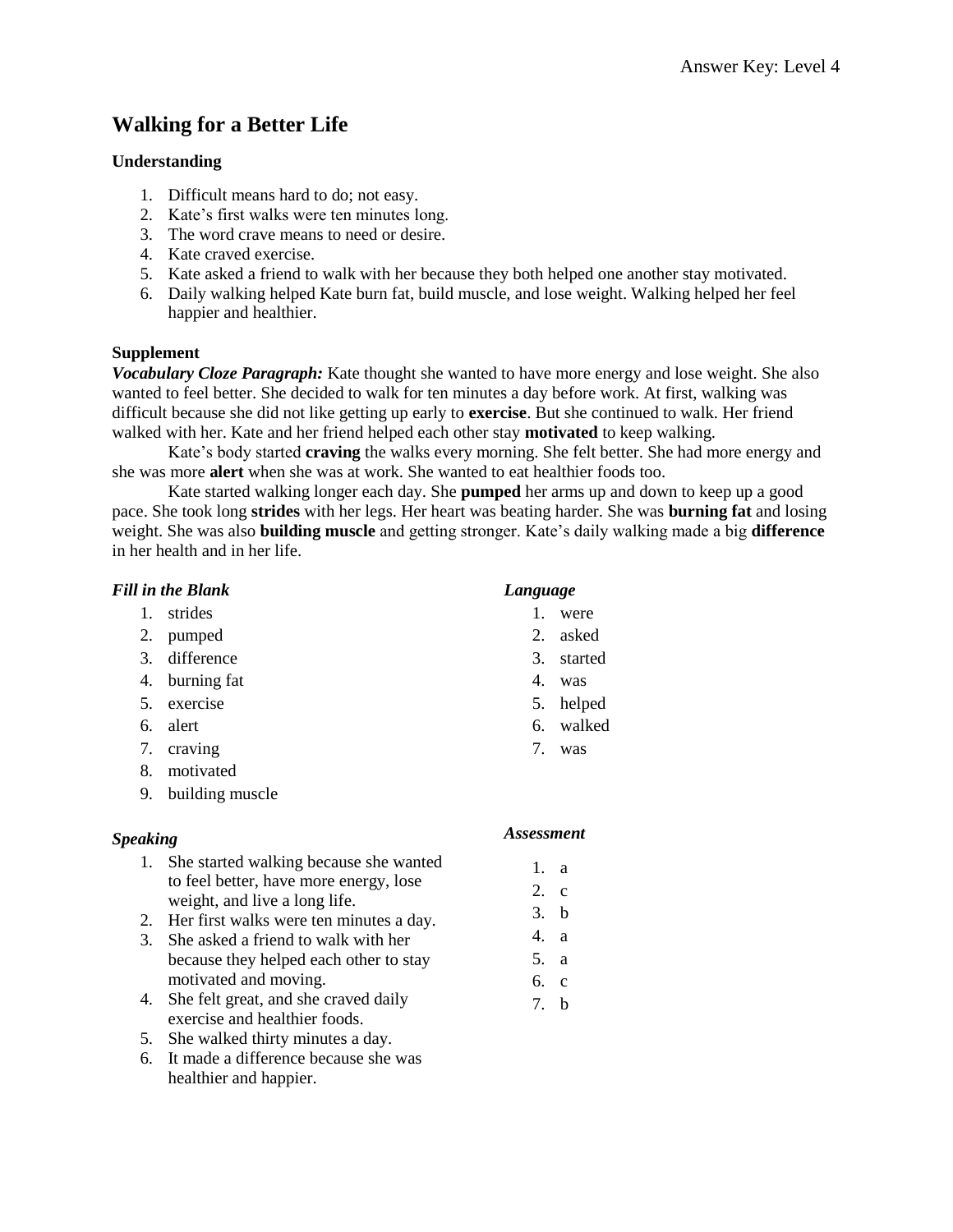## **Walking for a Better Life**

### **Understanding**

- 1. Difficult means hard to do; not easy.
- 2. Kate's first walks were ten minutes long.
- 3. The word crave means to need or desire.
- 4. Kate craved exercise.
- 5. Kate asked a friend to walk with her because they both helped one another stay motivated.
- 6. Daily walking helped Kate burn fat, build muscle, and lose weight. Walking helped her feel happier and healthier.

#### **Supplement**

*Vocabulary Cloze Paragraph:* Kate thought she wanted to have more energy and lose weight. She also wanted to feel better. She decided to walk for ten minutes a day before work. At first, walking was difficult because she did not like getting up early to **exercise**. But she continued to walk. Her friend walked with her. Kate and her friend helped each other stay **motivated** to keep walking.

Kate's body started **craving** the walks every morning. She felt better. She had more energy and she was more **alert** when she was at work. She wanted to eat healthier foods too.

Kate started walking longer each day. She **pumped** her arms up and down to keep up a good pace. She took long **strides** with her legs. Her heart was beating harder. She was **burning fat** and losing weight. She was also **building muscle** and getting stronger. Kate's daily walking made a big **difference** in her health and in her life.

## *Fill in the Blank*

- 1. strides
- 2. pumped
- 3. difference
- 4. burning fat
- 5. exercise
- 6. alert
- 7. craving
- 8. motivated
- 9. building muscle

## *Speaking*

- 1. She started walking because she wanted to feel better, have more energy, lose weight, and live a long life.
- 2. Her first walks were ten minutes a day.
- 3. She asked a friend to walk with her because they helped each other to stay motivated and moving.
- 4. She felt great, and she craved daily exercise and healthier foods.
- 5. She walked thirty minutes a day.
- 6. It made a difference because she was healthier and happier.

## *Language*

- 1. were
- 2. asked
- 3. started
- 4. was
- 5. helped
- 6. walked
- 7. was

- 1. a
- 2. c
- 3. b
- 4. a
- 5. a
- 6. c
- 7. b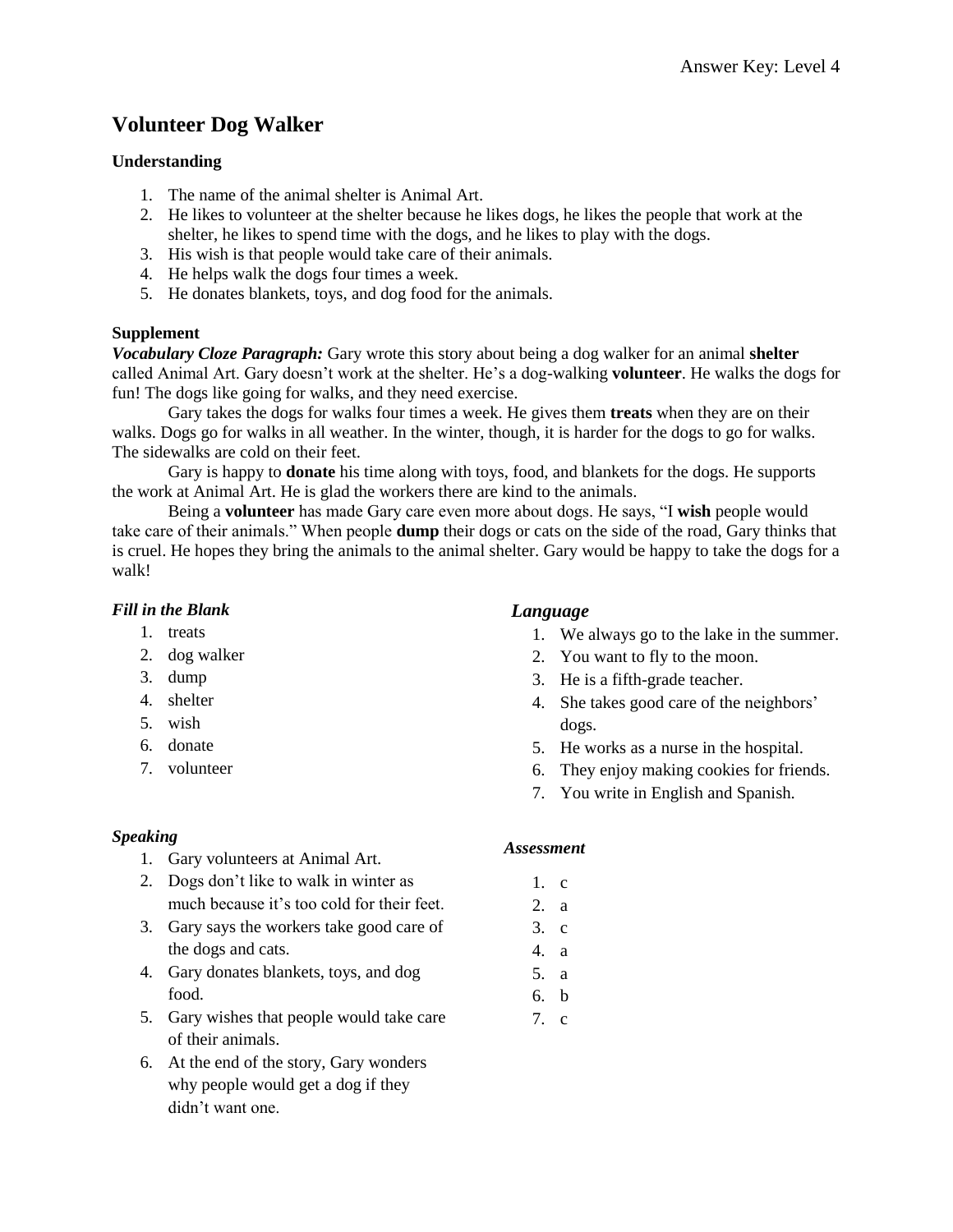## **Volunteer Dog Walker**

## **Understanding**

- 1. The name of the animal shelter is Animal Art.
- 2. He likes to volunteer at the shelter because he likes dogs, he likes the people that work at the shelter, he likes to spend time with the dogs, and he likes to play with the dogs.
- 3. His wish is that people would take care of their animals.
- 4. He helps walk the dogs four times a week.
- 5. He donates blankets, toys, and dog food for the animals.

### **Supplement**

*Vocabulary Cloze Paragraph:* Gary wrote this story about being a dog walker for an animal **shelter** called Animal Art. Gary doesn't work at the shelter. He's a dog-walking **volunteer**. He walks the dogs for fun! The dogs like going for walks, and they need exercise.

Gary takes the dogs for walks four times a week. He gives them **treats** when they are on their walks. Dogs go for walks in all weather. In the winter, though, it is harder for the dogs to go for walks. The sidewalks are cold on their feet.

Gary is happy to **donate** his time along with toys, food, and blankets for the dogs. He supports the work at Animal Art. He is glad the workers there are kind to the animals.

Being a **volunteer** has made Gary care even more about dogs. He says, "I **wish** people would take care of their animals." When people **dump** their dogs or cats on the side of the road, Gary thinks that is cruel. He hopes they bring the animals to the animal shelter. Gary would be happy to take the dogs for a walk!

## *Fill in the Blank*

- 1. treats
- 2. dog walker
- 3. dump
- 4. shelter
- 5. wish
- 6. donate
- 7. volunteer

## *Speaking*

- 1. Gary volunteers at Animal Art.
- 2. Dogs don't like to walk in winter as much because it's too cold for their feet.
- 3. Gary says the workers take good care of the dogs and cats.
- 4. Gary donates blankets, toys, and dog food.
- 5. Gary wishes that people would take care of their animals.
- 6. At the end of the story, Gary wonders why people would get a dog if they didn't want one.

## *Language*

- 1. We always go to the lake in the summer.
- 2. You want to fly to the moon.
- 3. He is a fifth-grade teacher.
- 4. She takes good care of the neighbors' dogs.
- 5. He works as a nurse in the hospital.
- 6. They enjoy making cookies for friends.
- 7. You write in English and Spanish.

- 1. c
- 2. a
- 3. c
- 4. a
- 5. a
- 6. b
- 7. c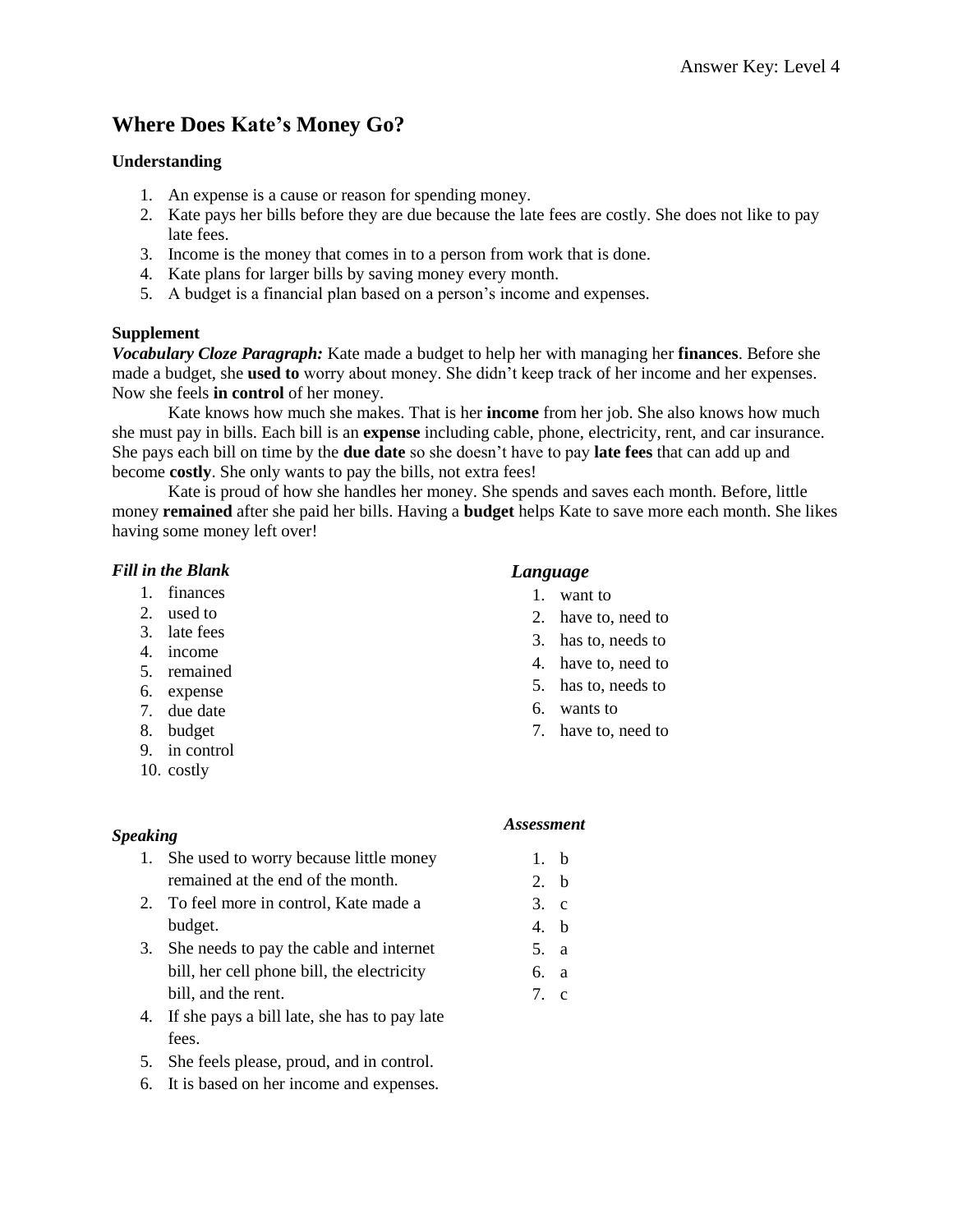## **Where Does Kate's Money Go?**

### **Understanding**

- 1. An expense is a cause or reason for spending money.
- 2. Kate pays her bills before they are due because the late fees are costly. She does not like to pay late fees.
- 3. Income is the money that comes in to a person from work that is done.
- 4. Kate plans for larger bills by saving money every month.
- 5. A budget is a financial plan based on a person's income and expenses.

## **Supplement**

*Vocabulary Cloze Paragraph:* Kate made a budget to help her with managing her **finances**. Before she made a budget, she **used to** worry about money. She didn't keep track of her income and her expenses. Now she feels **in control** of her money.

Kate knows how much she makes. That is her **income** from her job. She also knows how much she must pay in bills. Each bill is an **expense** including cable, phone, electricity, rent, and car insurance. She pays each bill on time by the **due date** so she doesn't have to pay **late fees** that can add up and become **costly**. She only wants to pay the bills, not extra fees!

Kate is proud of how she handles her money. She spends and saves each month. Before, little money **remained** after she paid her bills. Having a **budget** helps Kate to save more each month. She likes having some money left over!

### *Fill in the Blank*

- 1. finances
- 2. used to
- 3. late fees
- 4. income
- 5. remained
- 6. expense
- 7. due date
- 8. budget
- 9. in control
- 10. costly

## *Speaking*

- 1. She used to worry because little money remained at the end of the month.
- 2. To feel more in control, Kate made a budget.
- 3. She needs to pay the cable and internet bill, her cell phone bill, the electricity bill, and the rent.
- 4. If she pays a bill late, she has to pay late fees.
- 5. She feels please, proud, and in control.
- 6. It is based on her income and expenses.

## *Language*

- 1. want to
- 2. have to, need to
- 3. has to, needs to
- 4. have to, need to
- 5. has to, needs to
- 6. wants to
- 7. have to, need to

- 1. b
- 2. b
- 3. c 4. b
- 5. a
- 6. a
- 7. c
-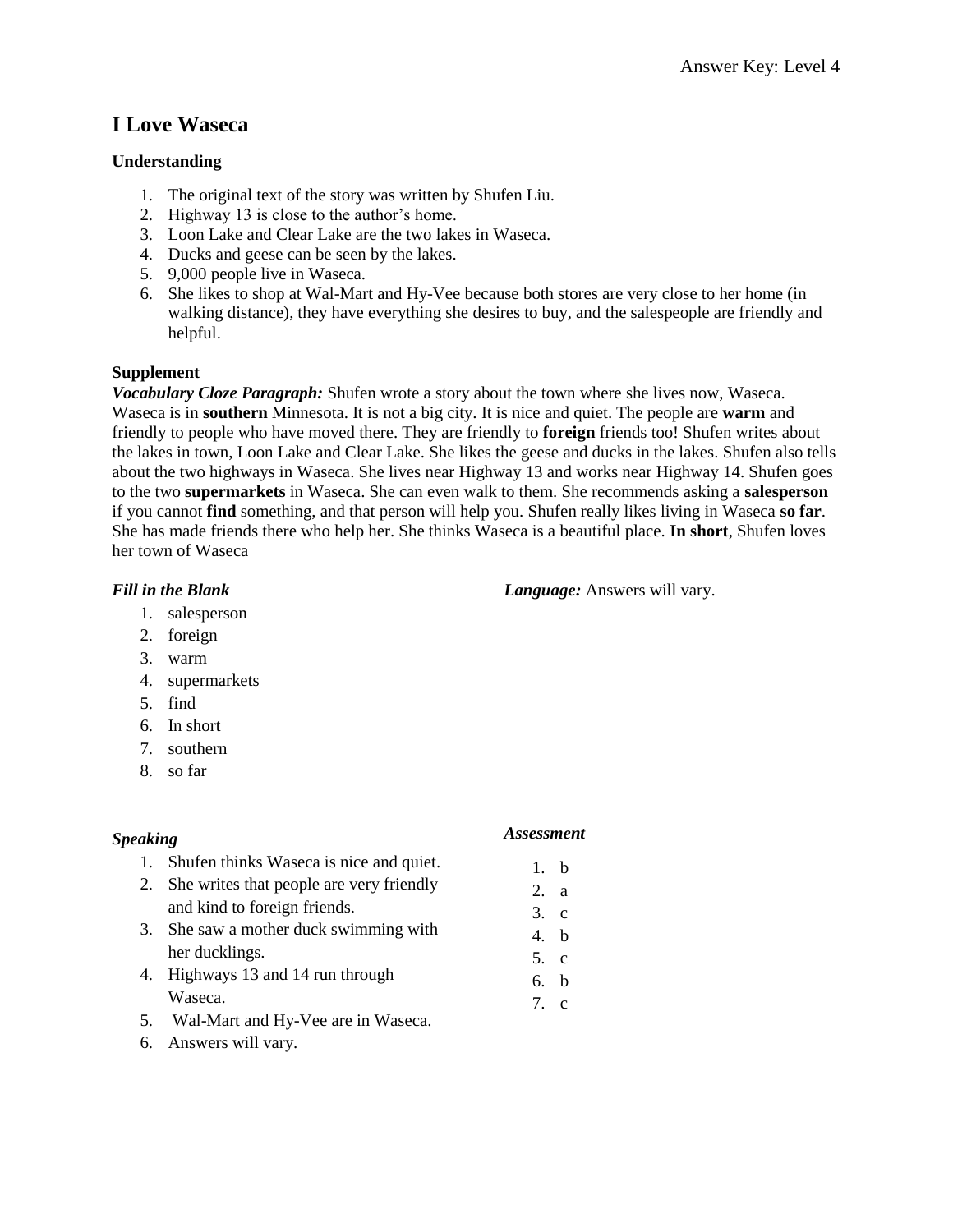## **I Love Waseca**

## **Understanding**

- 1. The original text of the story was written by Shufen Liu.
- 2. Highway 13 is close to the author's home.
- 3. Loon Lake and Clear Lake are the two lakes in Waseca.
- 4. Ducks and geese can be seen by the lakes.
- 5. 9,000 people live in Waseca.
- 6. She likes to shop at Wal-Mart and Hy-Vee because both stores are very close to her home (in walking distance), they have everything she desires to buy, and the salespeople are friendly and helpful.

## **Supplement**

*Vocabulary Cloze Paragraph:* Shufen wrote a story about the town where she lives now, Waseca. Waseca is in **southern** Minnesota. It is not a big city. It is nice and quiet. The people are **warm** and friendly to people who have moved there. They are friendly to **foreign** friends too! Shufen writes about the lakes in town, Loon Lake and Clear Lake. She likes the geese and ducks in the lakes. Shufen also tells about the two highways in Waseca. She lives near Highway 13 and works near Highway 14. Shufen goes to the two **supermarkets** in Waseca. She can even walk to them. She recommends asking a **salesperson** if you cannot **find** something, and that person will help you. Shufen really likes living in Waseca **so far**. She has made friends there who help her. She thinks Waseca is a beautiful place. **In short**, Shufen loves her town of Waseca

## *Fill in the Blank*

- 1. salesperson
- 2. foreign
- 3. warm
- 4. supermarkets
- 5. find
- 6. In short
- 7. southern
- 8. so far

## *Speaking*

## *Assessment*

1. b 2. a 3. c 4. b 5. c 6. b 7. c

*Language:* Answers will vary.

- 1. Shufen thinks Waseca is nice and quiet.
- 2. She writes that people are very friendly and kind to foreign friends.
- 3. She saw a mother duck swimming with her ducklings.
- 4. Highways 13 and 14 run through Waseca.
- 5. Wal-Mart and Hy-Vee are in Waseca.
- 6. Answers will vary.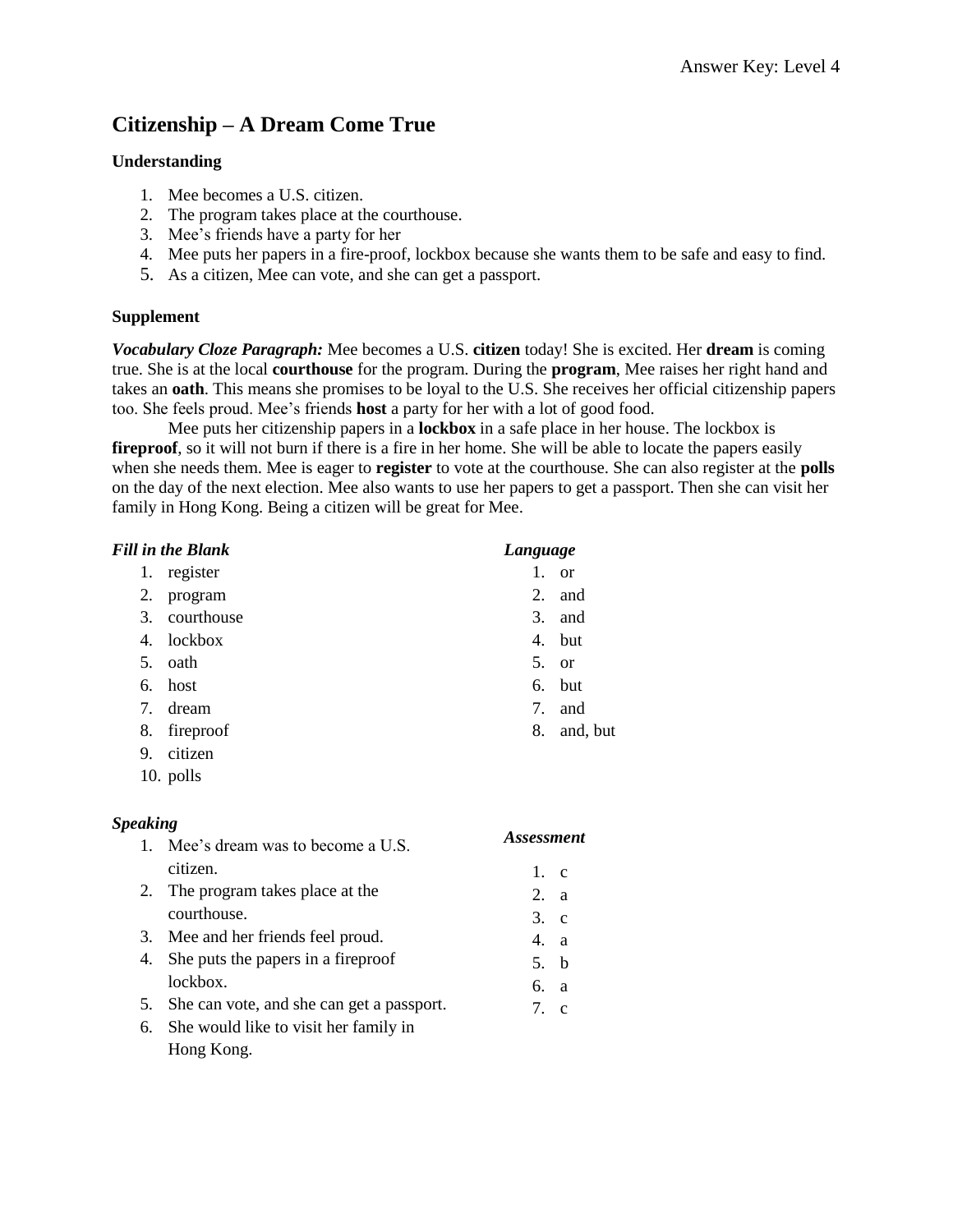## **Citizenship – A Dream Come True**

### **Understanding**

- 1. Mee becomes a U.S. citizen.
- 2. The program takes place at the courthouse.
- 3. Mee's friends have a party for her
- 4. Mee puts her papers in a fire-proof, lockbox because she wants them to be safe and easy to find.
- 5. As a citizen, Mee can vote, and she can get a passport.

### **Supplement**

*Vocabulary Cloze Paragraph:* Mee becomes a U.S. **citizen** today! She is excited. Her **dream** is coming true. She is at the local **courthouse** for the program. During the **program**, Mee raises her right hand and takes an **oath**. This means she promises to be loyal to the U.S. She receives her official citizenship papers too. She feels proud. Mee's friends **host** a party for her with a lot of good food.

Mee puts her citizenship papers in a **lockbox** in a safe place in her house. The lockbox is **fireproof**, so it will not burn if there is a fire in her home. She will be able to locate the papers easily when she needs them. Mee is eager to **register** to vote at the courthouse. She can also register at the **polls** on the day of the next election. Mee also wants to use her papers to get a passport. Then she can visit her family in Hong Kong. Being a citizen will be great for Mee.

| <b>Fill in the Blank</b> |               |    | Language      |  |
|--------------------------|---------------|----|---------------|--|
| 1.                       | register      | 1. | <sub>or</sub> |  |
| 2.                       | program       | 2. | and           |  |
|                          | 3. courthouse | 3. | and           |  |
|                          | 4. lockbox    |    | 4. but        |  |
| 5.                       | oath          | 5. | <sub>or</sub> |  |
|                          | 6. host       | 6. | but           |  |
| 7.                       | dream         | 7. | and           |  |
| 8.                       | fireproof     | 8. | and, but      |  |
| 9.                       | citizen       |    |               |  |
|                          | 10. polls     |    |               |  |

### *Speaking*

| 1. Mee's dream was to become a U.S.          | <b>Assessment</b> |
|----------------------------------------------|-------------------|
| citizen.                                     | $1$ , c           |
| 2. The program takes place at the            | 2. a              |
| courthouse.                                  | 3. c              |
| 3. Mee and her friends feel proud.           | 4. a              |
| 4. She puts the papers in a fireproof        | 5. b              |
| lockbox.                                     | 6. a              |
| 5. She can vote, and she can get a passport. | 7 c               |

6. She would like to visit her family in Hong Kong.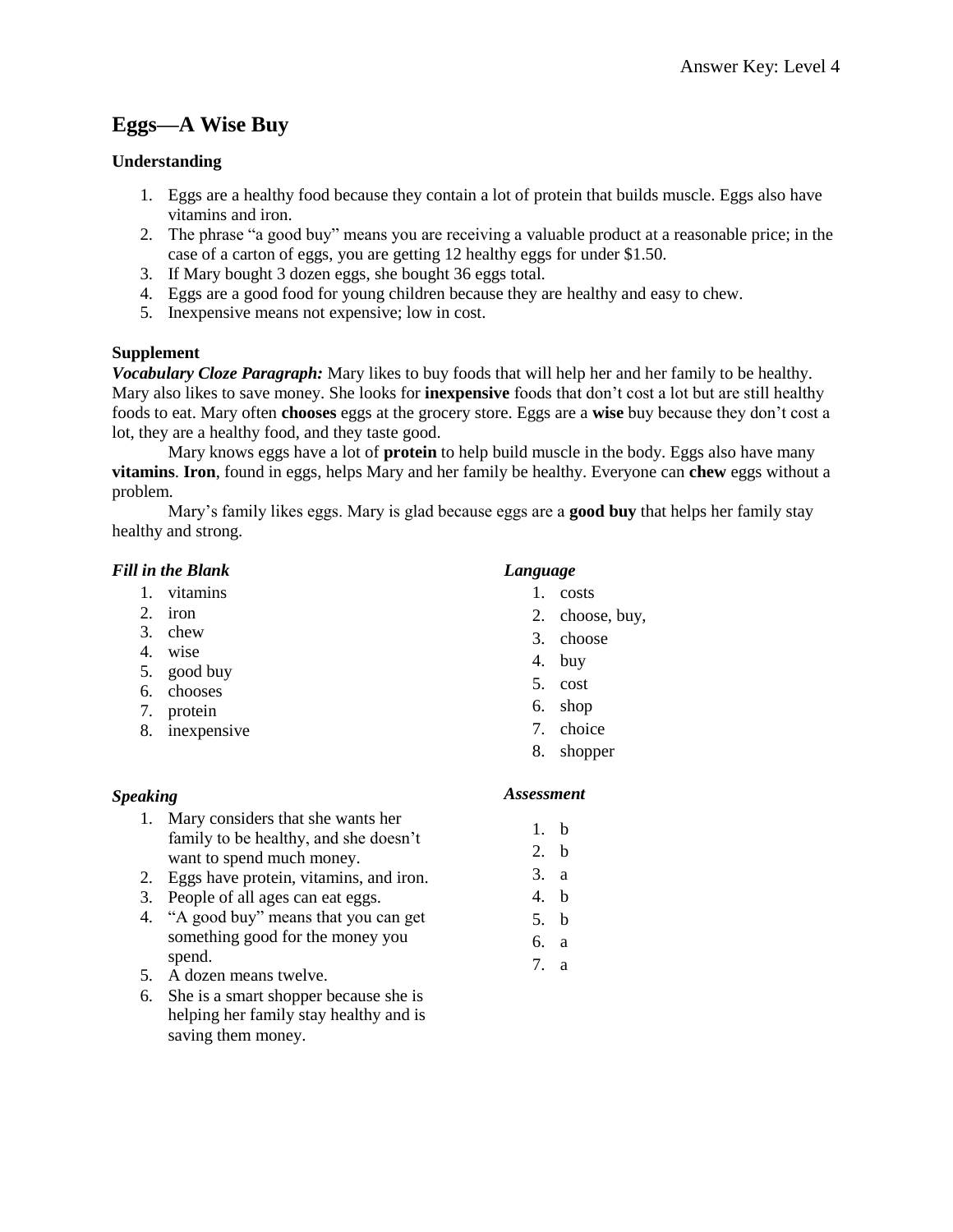## **Eggs—A Wise Buy**

### **Understanding**

- 1. Eggs are a healthy food because they contain a lot of protein that builds muscle. Eggs also have vitamins and iron.
- 2. The phrase "a good buy" means you are receiving a valuable product at a reasonable price; in the case of a carton of eggs, you are getting 12 healthy eggs for under \$1.50.
- 3. If Mary bought 3 dozen eggs, she bought 36 eggs total.
- 4. Eggs are a good food for young children because they are healthy and easy to chew.
- 5. Inexpensive means not expensive; low in cost.

### **Supplement**

*Vocabulary Cloze Paragraph:* Mary likes to buy foods that will help her and her family to be healthy. Mary also likes to save money. She looks for **inexpensive** foods that don't cost a lot but are still healthy foods to eat. Mary often **chooses** eggs at the grocery store. Eggs are a **wise** buy because they don't cost a lot, they are a healthy food, and they taste good.

Mary knows eggs have a lot of **protein** to help build muscle in the body. Eggs also have many **vitamins**. **Iron**, found in eggs, helps Mary and her family be healthy. Everyone can **chew** eggs without a problem.

Mary's family likes eggs. Mary is glad because eggs are a **good buy** that helps her family stay healthy and strong.

### *Fill in the Blank*

- 1. vitamins
- 2. iron
- 3. chew
- 4. wise
- 5. good buy
- 6. chooses
- 7. protein
- 8. inexpensive

#### *Language* 1. costs

- 2. choose, buy,
- 3. choose
- 4. buy
- 5. cost
- 6. shop
- 7. choice
- 8. shopper

#### *Speaking*

- 1. Mary considers that she wants her family to be healthy, and she doesn't want to spend much money.
- 2. Eggs have protein, vitamins, and iron.
- 3. People of all ages can eat eggs.
- 4. "A good buy" means that you can get something good for the money you spend.
- 5. A dozen means twelve.
- 6. She is a smart shopper because she is helping her family stay healthy and is saving them money.

#### *Assessment*

1. b 2. b 3. a 4. b 5. b 6. a 7. a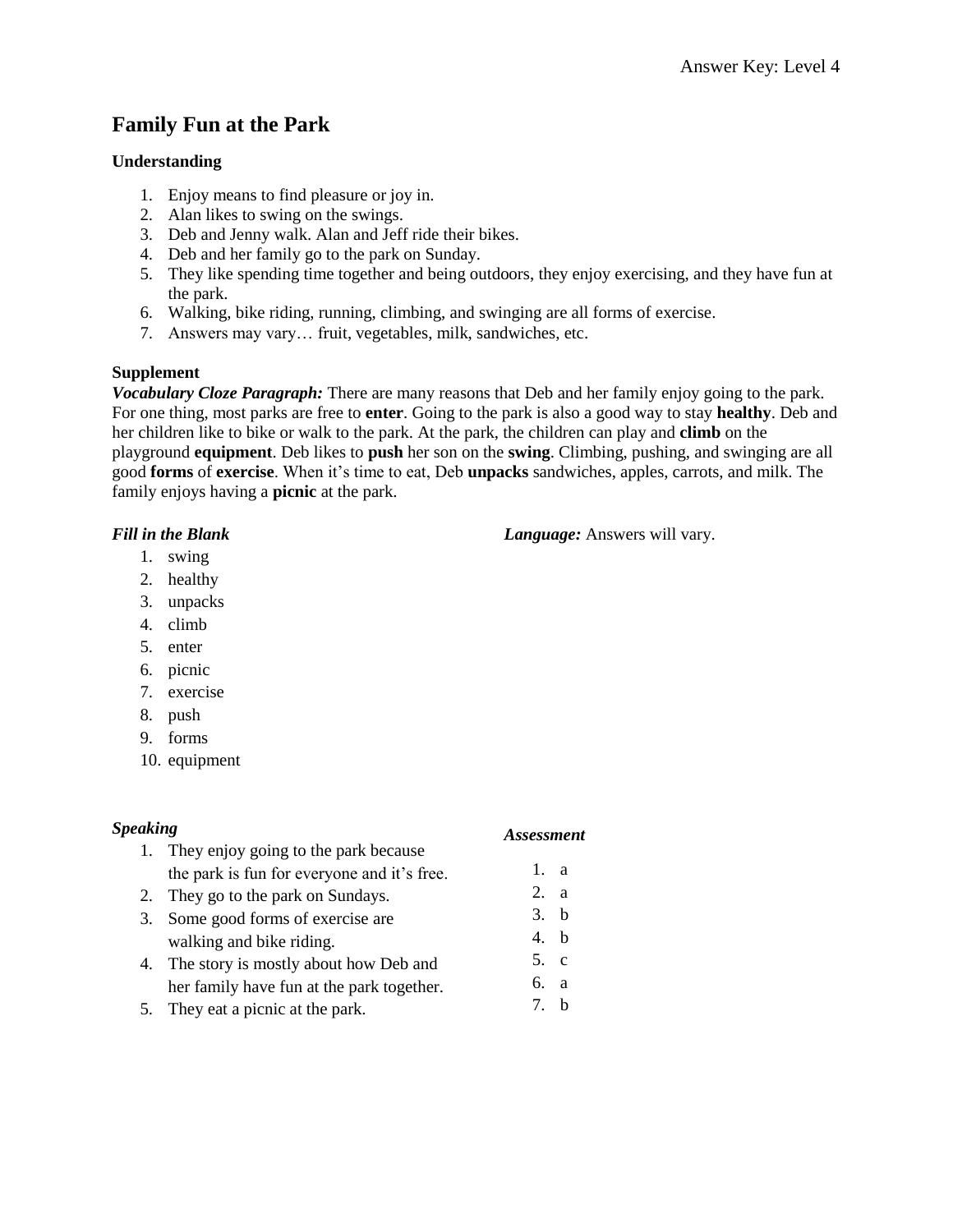## **Family Fun at the Park**

## **Understanding**

- 1. Enjoy means to find pleasure or joy in.
- 2. Alan likes to swing on the swings.
- 3. Deb and Jenny walk. Alan and Jeff ride their bikes.
- 4. Deb and her family go to the park on Sunday.
- 5. They like spending time together and being outdoors, they enjoy exercising, and they have fun at the park.
- 6. Walking, bike riding, running, climbing, and swinging are all forms of exercise.
- 7. Answers may vary… fruit, vegetables, milk, sandwiches, etc.

## **Supplement**

*Vocabulary Cloze Paragraph:* There are many reasons that Deb and her family enjoy going to the park. For one thing, most parks are free to **enter**. Going to the park is also a good way to stay **healthy**. Deb and her children like to bike or walk to the park. At the park, the children can play and **climb** on the playground **equipment**. Deb likes to **push** her son on the **swing**. Climbing, pushing, and swinging are all good **forms** of **exercise**. When it's time to eat, Deb **unpacks** sandwiches, apples, carrots, and milk. The family enjoys having a **picnic** at the park.

*Language:* Answers will vary.

### *Fill in the Blank*

- 1. swing
- 2. healthy
- 3. unpacks
- 4. climb
- 5. enter
- 6. picnic
- 7. exercise
- 8. push
- 9. forms
- 10. equipment

| <i>Speaking</i> |                                             | <i>Assessment</i> |  |
|-----------------|---------------------------------------------|-------------------|--|
| 1.              | They enjoy going to the park because        |                   |  |
|                 | the park is fun for everyone and it's free. | 1. a              |  |
|                 | 2. They go to the park on Sundays.          | 2. a              |  |
| 3.              | Some good forms of exercise are             | 3. b              |  |
|                 | walking and bike riding.                    | 4. h              |  |
|                 | 4. The story is mostly about how Deb and    | 5. c              |  |
|                 | her family have fun at the park together.   | 6. a              |  |
| 5.              | They eat a picnic at the park.              | $7-h$             |  |
|                 |                                             |                   |  |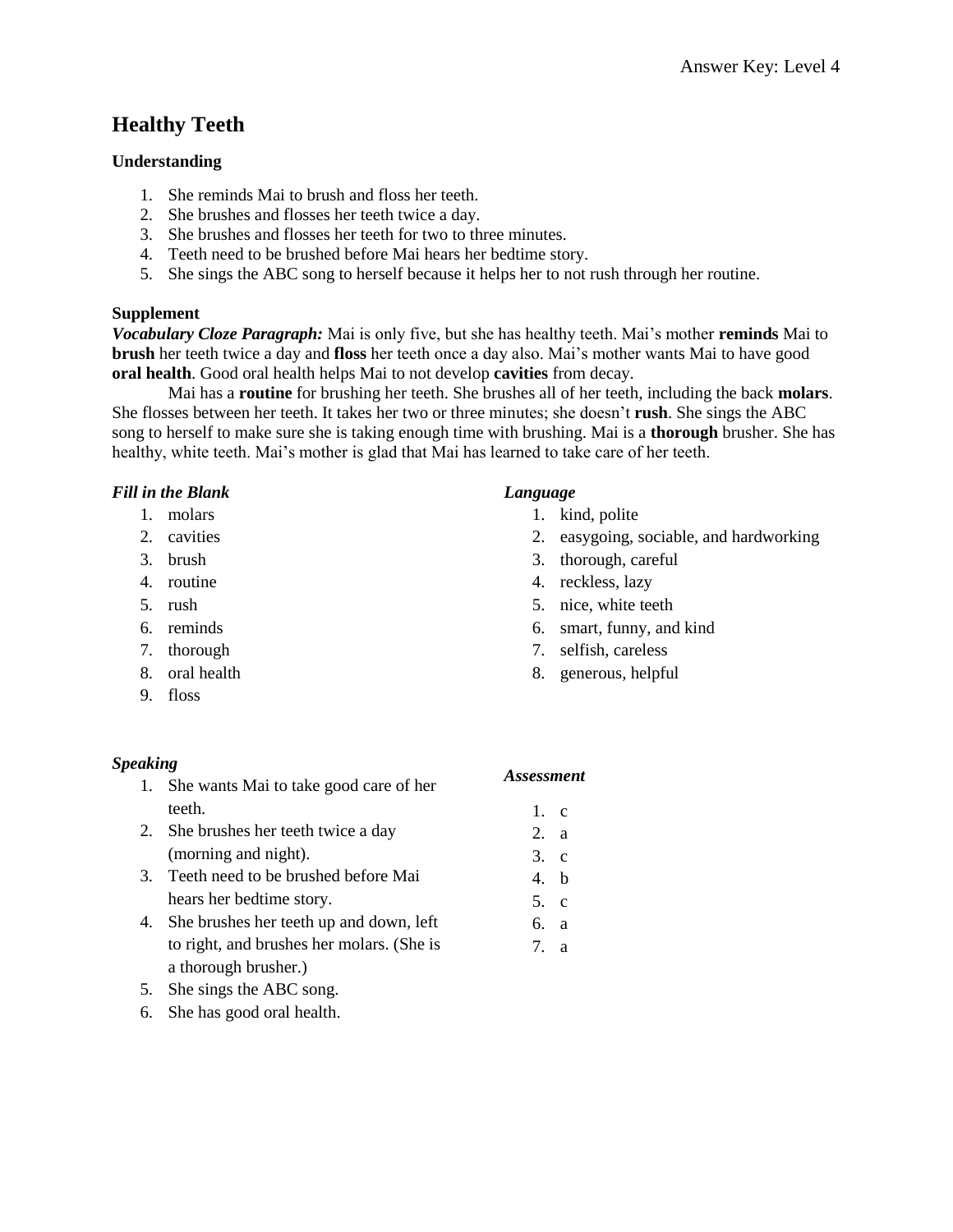## **Healthy Teeth**

#### **Understanding**

- 1. She reminds Mai to brush and floss her teeth.
- 2. She brushes and flosses her teeth twice a day.
- 3. She brushes and flosses her teeth for two to three minutes.
- 4. Teeth need to be brushed before Mai hears her bedtime story.
- 5. She sings the ABC song to herself because it helps her to not rush through her routine.

#### **Supplement**

*Vocabulary Cloze Paragraph:* Mai is only five, but she has healthy teeth. Mai's mother **reminds** Mai to **brush** her teeth twice a day and **floss** her teeth once a day also. Mai's mother wants Mai to have good **oral health**. Good oral health helps Mai to not develop **cavities** from decay.

Mai has a **routine** for brushing her teeth. She brushes all of her teeth, including the back **molars**. She flosses between her teeth. It takes her two or three minutes; she doesn't **rush**. She sings the ABC song to herself to make sure she is taking enough time with brushing. Mai is a **thorough** brusher. She has healthy, white teeth. Mai's mother is glad that Mai has learned to take care of her teeth.

### *Fill in the Blank*

- 1. molars
- 2. cavities
- 3. brush
- 4. routine
- 5. rush
- 6. reminds
- 7. thorough
- 8. oral health
- 9. floss

## *Speaking*

- 1. She wants Mai to take good care of her teeth.
- 2. She brushes her teeth twice a day (morning and night).
- 3. Teeth need to be brushed before Mai hears her bedtime story.
- 4. She brushes her teeth up and down, left to right, and brushes her molars. (She is a thorough brusher.)
- 5. She sings the ABC song.
- 6. She has good oral health.

### *Language*

- 1. kind, polite
- 2. easygoing, sociable, and hardworking
- 3. thorough, careful
- 4. reckless, lazy
- 5. nice, white teeth
- 6. smart, funny, and kind
- 7. selfish, careless
- 8. generous, helpful

#### *Assessment*

1. c 2. a 3. c 4. b 5. c 6. a 7. a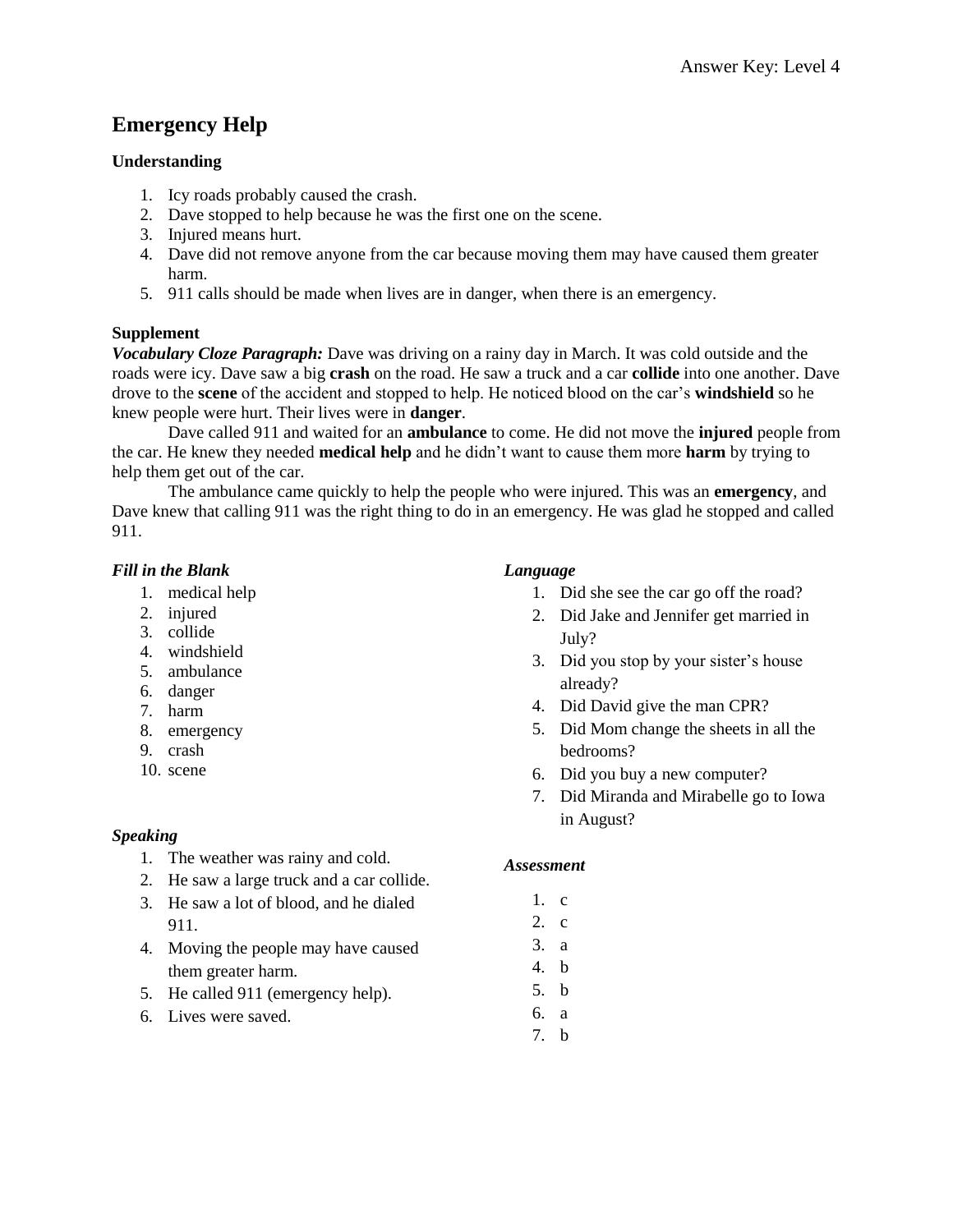## **Emergency Help**

## **Understanding**

- 1. Icy roads probably caused the crash.
- 2. Dave stopped to help because he was the first one on the scene.
- 3. Injured means hurt.
- 4. Dave did not remove anyone from the car because moving them may have caused them greater harm.
- 5. 911 calls should be made when lives are in danger, when there is an emergency.

## **Supplement**

*Vocabulary Cloze Paragraph:* Dave was driving on a rainy day in March. It was cold outside and the roads were icy. Dave saw a big **crash** on the road. He saw a truck and a car **collide** into one another. Dave drove to the **scene** of the accident and stopped to help. He noticed blood on the car's **windshield** so he knew people were hurt. Their lives were in **danger**.

Dave called 911 and waited for an **ambulance** to come. He did not move the **injured** people from the car. He knew they needed **medical help** and he didn't want to cause them more **harm** by trying to help them get out of the car.

The ambulance came quickly to help the people who were injured. This was an **emergency**, and Dave knew that calling 911 was the right thing to do in an emergency. He was glad he stopped and called 911.

## *Fill in the Blank*

- 1. medical help
- 2. injured
- 3. collide
- 4. windshield
- 5. ambulance
- 6. danger
- 7. harm
- 8. emergency
- 9. crash
- 10. scene

## *Speaking*

- 1. The weather was rainy and cold.
- 2. He saw a large truck and a car collide.
- 3. He saw a lot of blood, and he dialed 911.
- 4. Moving the people may have caused them greater harm.
- 5. He called 911 (emergency help).
- 6. Lives were saved.

## *Language*

- 1. Did she see the car go off the road?
- 2. Did Jake and Jennifer get married in July?
- 3. Did you stop by your sister's house already?
- 4. Did David give the man CPR?
- 5. Did Mom change the sheets in all the bedrooms?
- 6. Did you buy a new computer?
- 7. Did Miranda and Mirabelle go to Iowa in August?

- 1. c
- 2. c
- 3. a
- 4. b
- 5. b
- 6. a
- 7. b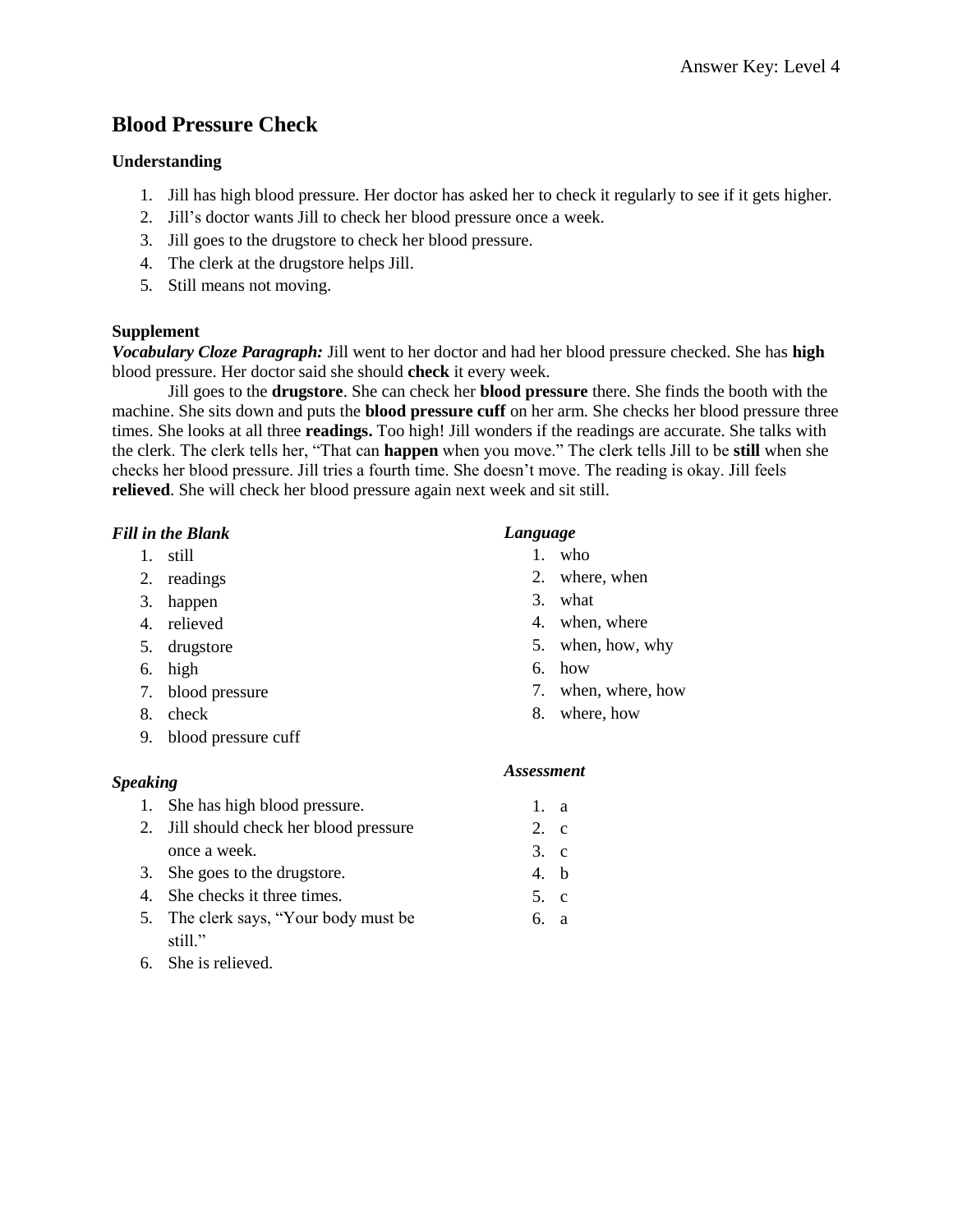## **Blood Pressure Check**

## **Understanding**

- 1. Jill has high blood pressure. Her doctor has asked her to check it regularly to see if it gets higher.
- 2. Jill's doctor wants Jill to check her blood pressure once a week.
- 3. Jill goes to the drugstore to check her blood pressure.
- 4. The clerk at the drugstore helps Jill.
- 5. Still means not moving.

## **Supplement**

*Vocabulary Cloze Paragraph:* Jill went to her doctor and had her blood pressure checked. She has **high** blood pressure. Her doctor said she should **check** it every week.

Jill goes to the **drugstore**. She can check her **blood pressure** there. She finds the booth with the machine. She sits down and puts the **blood pressure cuff** on her arm. She checks her blood pressure three times. She looks at all three **readings.** Too high! Jill wonders if the readings are accurate. She talks with the clerk. The clerk tells her, "That can **happen** when you move." The clerk tells Jill to be **still** when she checks her blood pressure. Jill tries a fourth time. She doesn't move. The reading is okay. Jill feels **relieved**. She will check her blood pressure again next week and sit still.

## *Fill in the Blank*

- 1. still
- 2. readings
- 3. happen
- 4. relieved
- 5. drugstore
- 6. high
- 7. blood pressure
- 8. check
- 9. blood pressure cuff

## *Speaking*

- 1. She has high blood pressure.
- 2. Jill should check her blood pressure once a week.
- 3. She goes to the drugstore.
- 4. She checks it three times.
- 5. The clerk says, "Your body must be still."
- 6. She is relieved.

## *Language*

- 1. who
- 2. where, when
- 3. what
- 4. when, where
- 5. when, how, why
- 6. how
- 7. when, where, how
- 8. where, how

## *Assessment*

1. a 2. c 3. c 4. b 5. c 6. a